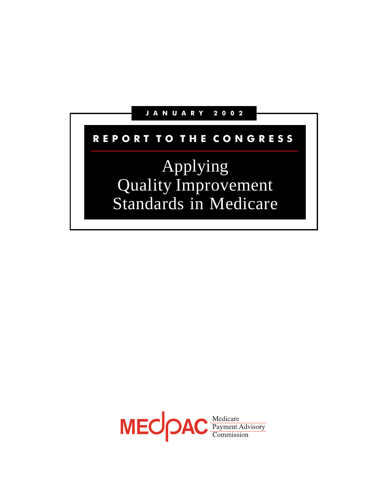### J A N U A R Y 2 0 0 2

# REPORT TO THE CONGRESS

Applying Quality Improvement Standards in Medicare

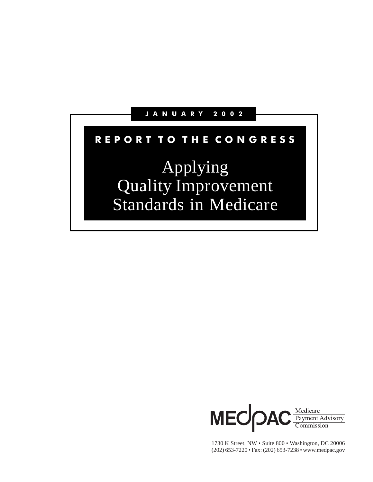### J A N U A R Y 2 0 0 2

# REPORT TO THE CONGRESS

# Applying Quality Improvement Standards in Medicare



1730 K Street, NW • Suite 800 • Washington, DC 20006 (202) 653-7220 • Fax: (202) 653-7238 • www.medpac.gov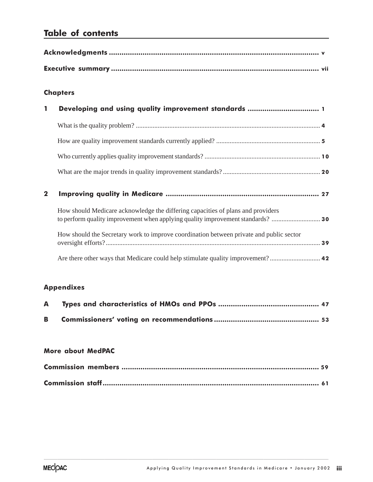# Table of contents

### **Chapters**

| $\mathbf 1$  | Developing and using quality improvement standards  1                                   |  |
|--------------|-----------------------------------------------------------------------------------------|--|
|              |                                                                                         |  |
|              |                                                                                         |  |
|              |                                                                                         |  |
|              |                                                                                         |  |
| $\mathbf{2}$ |                                                                                         |  |
|              | How should Medicare acknowledge the differing capacities of plans and providers         |  |
|              | How should the Secretary work to improve coordination between private and public sector |  |
|              | Are there other ways that Medicare could help stimulate quality improvement? 42         |  |

### Appendixes

### More about MedPAC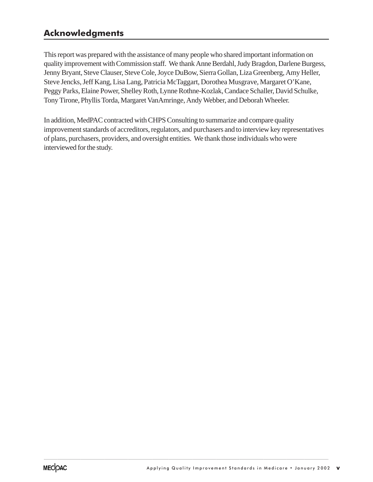# Acknowledgments

This report was prepared with the assistance of many people who shared important information on quality improvement with Commission staff. We thank Anne Berdahl, Judy Bragdon, Darlene Burgess, Jenny Bryant, Steve Clauser, Steve Cole, Joyce DuBow, Sierra Gollan, Liza Greenberg, Amy Heller, Steve Jencks, Jeff Kang, Lisa Lang, Patricia McTaggart, Dorothea Musgrave, Margaret O'Kane, Peggy Parks, Elaine Power, Shelley Roth, Lynne Rothne-Kozlak, Candace Schaller, David Schulke, Tony Tirone, Phyllis Torda, Margaret VanAmringe, Andy Webber, and Deborah Wheeler.

In addition, MedPAC contracted with CHPS Consulting to summarize and compare quality improvement standards of accreditors, regulators, and purchasers and to interview key representatives of plans, purchasers, providers, and oversight entities. We thank those individuals who were interviewed for the study.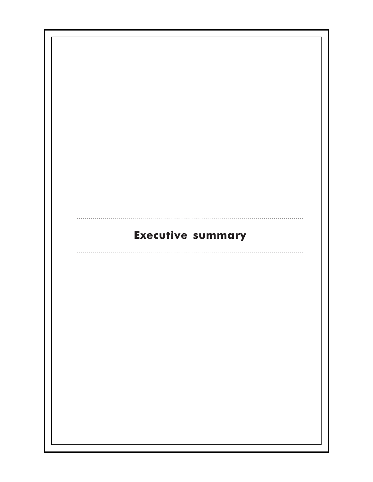| <b>Executive summary</b> |  |
|--------------------------|--|
|                          |  |
|                          |  |
|                          |  |
|                          |  |
|                          |  |
|                          |  |
|                          |  |
|                          |  |
|                          |  |
|                          |  |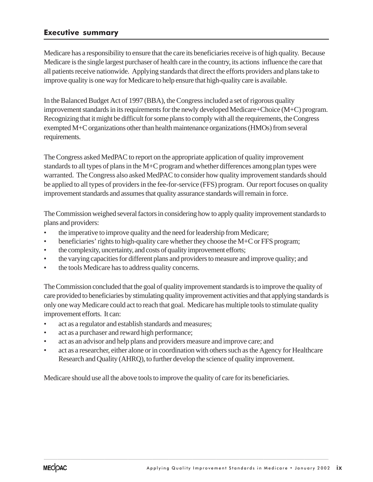### Executive summary

Medicare has a responsibility to ensure that the care its beneficiaries receive is of high quality. Because Medicare is the single largest purchaser of health care in the country, its actions influence the care that all patients receive nationwide. Applying standards that direct the efforts providers and plans take to improve quality is one way for Medicare to help ensure that high-quality care is available.

In the Balanced Budget Act of 1997 (BBA), the Congress included a set of rigorous quality improvement standards in its requirements for the newly developed Medicare+Choice (M+C) program. Recognizing that it might be difficult for some plans to comply with all the requirements, the Congress exempted M+C organizations other than health maintenance organizations (HMOs) from several requirements.

The Congress asked MedPAC to report on the appropriate application of quality improvement standards to all types of plans in the M+C program and whether differences among plan types were warranted. The Congress also asked MedPAC to consider how quality improvement standards should be applied to all types of providers in the fee-for-service (FFS) program. Our report focuses on quality improvement standards and assumes that quality assurance standards will remain in force.

The Commission weighed several factors in considering how to apply quality improvement standards to plans and providers:

- the imperative to improve quality and the need for leadership from Medicare;
- beneficiaries' rights to high-quality care whether they choose the M+C or FFS program;
- the complexity, uncertainty, and costs of quality improvement efforts;
- the varying capacities for different plans and providers to measure and improve quality; and
- the tools Medicare has to address quality concerns.

The Commission concluded that the goal of quality improvement standards is to improve the quality of care provided to beneficiaries by stimulating quality improvement activities and that applying standards is only one way Medicare could act to reach that goal. Medicare has multiple tools to stimulate quality improvement efforts. It can:

- act as a regulator and establish standards and measures;
- act as a purchaser and reward high performance;
- act as an advisor and help plans and providers measure and improve care; and
- act as a researcher, either alone or in coordination with others such as the Agency for Healthcare Research and Quality (AHRQ), to further develop the science of quality improvement.

......................................................................................................................................................................................................................................................................................................

Medicare should use all the above tools to improve the quality of care for its beneficiaries.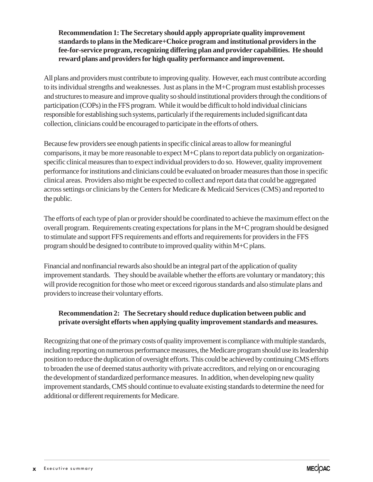### **Recommendation 1: The Secretary should apply appropriate quality improvement standards to plans in the Medicare+Choice program and institutional providers in the fee-for-service program, recognizing differing plan and provider capabilities. He should reward plans and providers for high quality performance and improvement.**

All plans and providers must contribute to improving quality. However, each must contribute according to its individual strengths and weaknesses. Just as plans in the M+C program must establish processes and structures to measure and improve quality so should institutional providers through the conditions of participation (COPs) in the FFS program. While it would be difficult to hold individual clinicians responsible for establishing such systems, particularly if the requirements included significant data collection, clinicians could be encouraged to participate in the efforts of others.

Because few providers see enough patients in specific clinical areas to allow for meaningful comparisons, it may be more reasonable to expect M+C plans to report data publicly on organizationspecific clinical measures than to expect individual providers to do so. However, quality improvement performance for institutions and clinicians could be evaluated on broader measures than those in specific clinical areas. Providers also might be expected to collect and report data that could be aggregated across settings or clinicians by the Centers for Medicare & Medicaid Services (CMS) and reported to the public.

The efforts of each type of plan or provider should be coordinated to achieve the maximum effect on the overall program. Requirements creating expectations for plans in the M+C program should be designed to stimulate and support FFS requirements and efforts and requirements for providers in the FFS program should be designed to contribute to improved quality within M+C plans.

Financial and nonfinancial rewards also should be an integral part of the application of quality improvement standards. They should be available whether the efforts are voluntary or mandatory; this will provide recognition for those who meet or exceed rigorous standards and also stimulate plans and providers to increase their voluntary efforts.

### **Recommendation 2: The Secretary should reduce duplication between public and private oversight efforts when applying quality improvement standards and measures.**

Recognizing that one of the primary costs of quality improvement is compliance with multiple standards, including reporting on numerous performance measures, the Medicare program should use its leadership position to reduce the duplication of oversight efforts. This could be achieved by continuing CMS efforts to broaden the use of deemed status authority with private accreditors, and relying on or encouraging the development of standardized performance measures. In addition, when developing new quality improvement standards, CMS should continue to evaluate existing standards to determine the need for additional or different requirements for Medicare.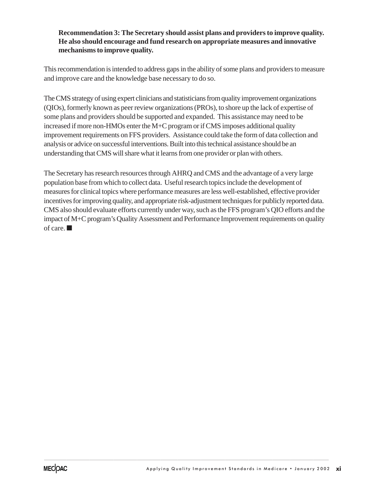### **Recommendation 3: The Secretary should assist plans and providers to improve quality. He also should encourage and fund research on appropriate measures and innovative mechanisms to improve quality.**

This recommendation is intended to address gaps in the ability of some plans and providers to measure and improve care and the knowledge base necessary to do so.

The CMS strategy of using expert clinicians and statisticians from quality improvement organizations (QIOs), formerly known as peer review organizations (PROs), to shore up the lack of expertise of some plans and providers should be supported and expanded. This assistance may need to be increased if more non-HMOs enter the M+C program or if CMS imposes additional quality improvement requirements on FFS providers. Assistance could take the form of data collection and analysis or advice on successful interventions. Built into this technical assistance should be an understanding that CMS will share what it learns from one provider or plan with others.

The Secretary has research resources through AHRQ and CMS and the advantage of a very large population base from which to collect data. Useful research topics include the development of measures for clinical topics where performance measures are less well-established, effective provider incentives for improving quality, and appropriate risk-adjustment techniques for publicly reported data. CMS also should evaluate efforts currently under way, such as the FFS program's QIO efforts and the impact of M+C program's Quality Assessment and Performance Improvement requirements on quality of care. ■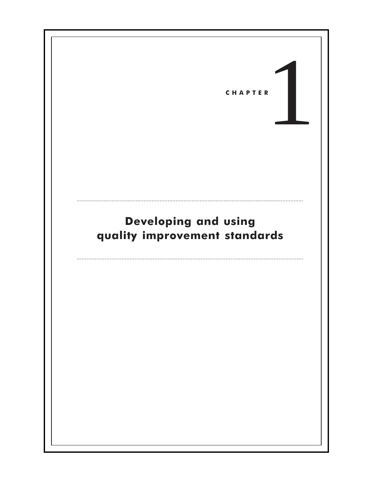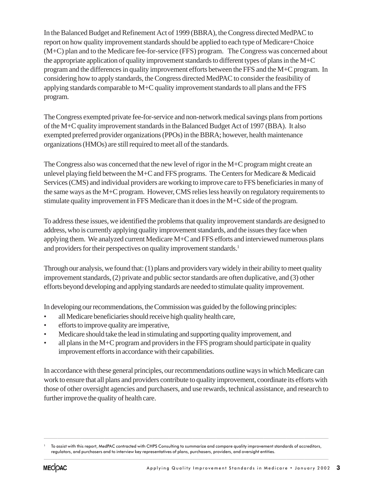In the Balanced Budget and Refinement Act of 1999 (BBRA), the Congress directed MedPAC to report on how quality improvement standards should be applied to each type of Medicare+Choice (M+C) plan and to the Medicare fee-for-service (FFS) program. The Congress was concerned about the appropriate application of quality improvement standards to different types of plans in the M+C program and the differences in quality improvement efforts between the FFS and the M+C program. In considering how to apply standards, the Congress directed MedPAC to consider the feasibility of applying standards comparable to M+C quality improvement standards to all plans and the FFS program.

The Congress exempted private fee-for-service and non-network medical savings plans from portions of the M+C quality improvement standards in the Balanced Budget Act of 1997 (BBA). It also exempted preferred provider organizations (PPOs) in the BBRA; however, health maintenance organizations (HMOs) are still required to meet all of the standards.

The Congress also was concerned that the new level of rigor in the M+C program might create an unlevel playing field between the M+C and FFS programs. The Centers for Medicare & Medicaid Services (CMS) and individual providers are working to improve care to FFS beneficiaries in many of the same ways as the M+C program. However, CMS relies less heavily on regulatory requirements to stimulate quality improvement in FFS Medicare than it does in the M+C side of the program.

To address these issues, we identified the problems that quality improvement standards are designed to address, who is currently applying quality improvement standards, and the issues they face when applying them. We analyzed current Medicare M+C and FFS efforts and interviewed numerous plans and providers for their perspectives on quality improvement standards.<sup>1</sup>

Through our analysis, we found that: (1) plans and providers vary widely in their ability to meet quality improvement standards, (2) private and public sector standards are often duplicative, and (3) other efforts beyond developing and applying standards are needed to stimulate quality improvement.

In developing our recommendations, the Commission was guided by the following principles:

- all Medicare beneficiaries should receive high quality health care,
- efforts to improve quality are imperative,
- Medicare should take the lead in stimulating and supporting quality improvement, and
- all plans in the M+C program and providers in the FFS program should participate in quality improvement efforts in accordance with their capabilities.

In accordance with these general principles, our recommendations outline ways in which Medicare can work to ensure that all plans and providers contribute to quality improvement, coordinate its efforts with those of other oversight agencies and purchasers, and use rewards, technical assistance, and research to further improve the quality of health care.

......................................................................................................................................................................................................................................................................................................

<sup>1</sup> To assist with this report, MedPAC contracted with CHPS Consulting to summarize and compare quality improvement standards of accreditors, regulators, and purchasers and to interview key representatives of plans, purchasers, providers, and oversight entities.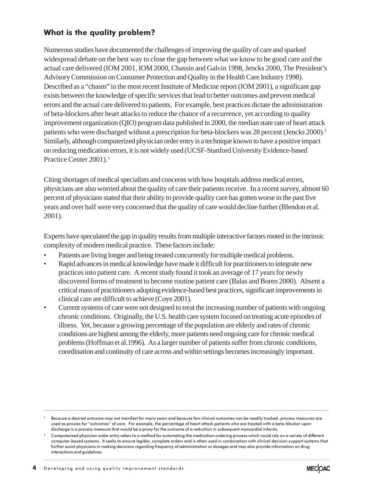# What is the quality problem?

Numerous studies have documented the challenges of improving the quality of care and sparked widespread debate on the best way to close the gap between what we know to be good care and the actual care delivered (IOM 2001, IOM 2000, Chassin and Galvin 1998, Jencks 2000, The President's Advisory Commission on Consumer Protection and Quality in the Health Care Industry 1998). Described as a "chasm" in the most recent Institute of Medicine report (IOM 2001), a significant gap exists between the knowledge of specific services that lead to better outcomes and prevent medical errors and the actual care delivered to patients. For example, best practices dictate the administration of beta-blockers after heart attacks to reduce the chance of a recurrence, yet according to quality improvement organization (QIO) program data published in 2000, the median state rate of heart attack patients who were discharged without a prescription for beta-blockers was 28 percent (Jencks 2000).<sup>2</sup> Similarly, although computerized physician order entry is a technique known to have a positive impact on reducing medication errors, it is not widely used (UCSF-Stanford University Evidence-based Practice Center 2001).3

Citing shortages of medical specialists and concerns with how hospitals address medical errors, physicians are also worried about the quality of care their patients receive. In a recent survey, almost 60 percent of physicians stated that their ability to provide quality care has gotten worse in the past five years and over half were very concerned that the quality of care would decline further (Blendon et al. 2001).

Experts have speculated the gap in quality results from multiple interactive factors rooted in the intrinsic complexity of modern medical practice. These factors include:

- Patients are living longer and being treated concurrently for multiple medical problems.
- Rapid advances in medical knowledge have made it difficult for practitioners to integrate new practices into patient care. A recent study found it took an average of 17 years for newly discovered forms of treatment to become routine patient care (Balas and Boren 2000). Absent a critical mass of practitioners adopting evidence-based best practices, significant improvements in clinical care are difficult to achieve (Coye 2001).
- Current systems of care were not designed to treat the increasing number of patients with ongoing chronic conditions. Originally, the U.S. health care system focused on treating acute episodes of illness. Yet, because a growing percentage of the population are elderly and rates of chronic conditions are highest among the elderly, more patients need ongoing care for chronic medical problems (Hoffman et al.1996). As a larger number of patients suffer from chronic conditions, coordination and continuity of care across and within settings becomes increasingly important.

....................................................................................................................................................................................................................................................................................................................................................................

 $^2$  Because a desired outcome may not manifest for many years and because few clinical outcomes can be readily tracked, process measures are used as proxies for "outcomes" of care. For example, the percentage of heart attack patients who are treated with a beta-blocker upon discharge is a process measure that would be a proxy for the outcome of a reduction in subsequent myocardial infarcts.

<sup>&</sup>lt;sup>3</sup> Computerized physician order entry refers to a method for automating the medication ordering process which could rely on a variety of different computer-based systems. It seeks to ensure legible, complete orders and is often used in combination with clinical decision support systems that further assist physicians in making decisions regarding frequency of administration or dosages and may also provide information on drug interactions and guidelines.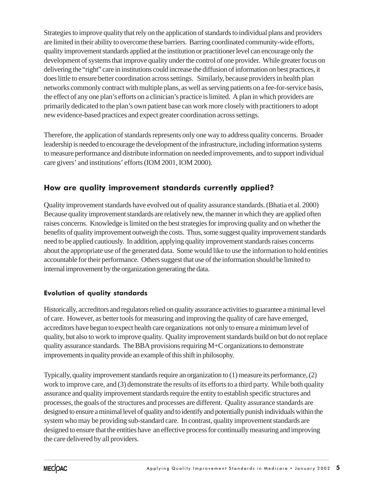Strategies to improve quality that rely on the application of standards to individual plans and providers are limited in their ability to overcome these barriers. Barring coordinated community-wide efforts, quality improvement standards applied at the institution or practitioner level can encourage only the development of systems that improve quality under the control of one provider. While greater focus on delivering the "right" care in institutions could increase the diffusion of information on best practices, it does little to ensure better coordination across settings. Similarly, because providers in health plan networks commonly contract with multiple plans, as well as serving patients on a fee-for-service basis, the effect of any one plan's efforts on a clinician's practice is limited. A plan in which providers are primarily dedicated to the plan's own patient base can work more closely with practitioners to adopt new evidence-based practices and expect greater coordination across settings.

Therefore, the application of standards represents only one way to address quality concerns. Broader leadership is needed to encourage the development of the infrastructure, including information systems to measure performance and distribute information on needed improvements, and to support individual care givers' and institutions' efforts (IOM 2001, IOM 2000).

# How are quality improvement standards currently applied?

Quality improvement standards have evolved out of quality assurance standards. (Bhatia et al. 2000) Because quality improvement standards are relatively new, the manner in which they are applied often raises concerns. Knowledge is limited on the best strategies for improving quality and on whether the benefits of quality improvement outweigh the costs. Thus, some suggest quality improvement standards need to be applied cautiously. In addition, applying quality improvement standards raises concerns about the appropriate use of the generated data. Some would like to use the information to hold entities accountable for their performance. Others suggest that use of the information should be limited to internal improvement by the organization generating the data.

### Evolution of quality standards

Historically, accreditors and regulators relied on quality assurance activities to guarantee a minimal level of care. However, as better tools for measuring and improving the quality of care have emerged, accreditors have begun to expect health care organizations not only to ensure a minimum level of quality, but also to work to improve quality. Quality improvement standards build on but do not replace quality assurance standards. The BBA provisions requiring M+C organizations to demonstrate improvements in quality provide an example of this shift in philosophy.

Typically, quality improvement standards require an organization to (1) measure its performance, (2) work to improve care, and (3) demonstrate the results of its efforts to a third party. While both quality assurance and quality improvement standards require the entity to establish specific structures and processes, the goals of the structures and processes are different. Quality assurance standards are designed to ensure a minimal level of quality and to identify and potentially punish individuals within the system who may be providing sub-standard care. In contrast, quality improvement standards are designed to ensure that the entities have an effective process for continually measuring and improving the care delivered by all providers.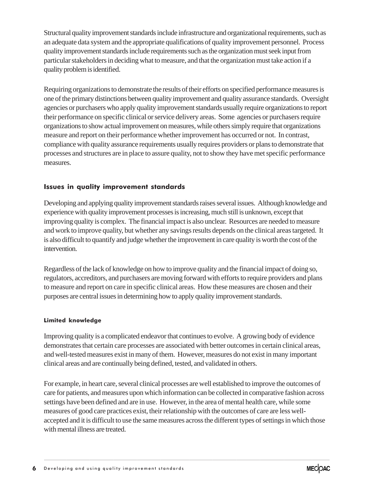Structural quality improvement standards include infrastructure and organizational requirements, such as an adequate data system and the appropriate qualifications of quality improvement personnel. Process quality improvement standards include requirements such as the organization must seek input from particular stakeholders in deciding what to measure, and that the organization must take action if a quality problem is identified.

Requiring organizations to demonstrate the results of their efforts on specified performance measures is one of the primary distinctions between quality improvement and quality assurance standards. Oversight agencies or purchasers who apply quality improvement standards usually require organizations to report their performance on specific clinical or service delivery areas. Some agencies or purchasers require organizations to show actual improvement on measures, while others simply require that organizations measure and report on their performance whether improvement has occurred or not. In contrast, compliance with quality assurance requirements usually requires providers or plans to demonstrate that processes and structures are in place to assure quality, not to show they have met specific performance measures.

### Issues in quality improvement standards

Developing and applying quality improvement standards raises several issues. Although knowledge and experience with quality improvement processes is increasing, much still is unknown, except that improving quality is complex. The financial impact is also unclear. Resources are needed to measure and work to improve quality, but whether any savings results depends on the clinical areas targeted. It is also difficult to quantify and judge whether the improvement in care quality is worth the cost of the intervention.

Regardless of the lack of knowledge on how to improve quality and the financial impact of doing so, regulators, accreditors, and purchasers are moving forward with efforts to require providers and plans to measure and report on care in specific clinical areas. How these measures are chosen and their purposes are central issues in determining how to apply quality improvement standards.

#### Limited knowledge

Improving quality is a complicated endeavor that continues to evolve. A growing body of evidence demonstrates that certain care processes are associated with better outcomes in certain clinical areas, and well-tested measures exist in many of them. However, measures do not exist in many important clinical areas and are continually being defined, tested, and validated in others.

For example, in heart care, several clinical processes are well established to improve the outcomes of care for patients, and measures upon which information can be collected in comparative fashion across settings have been defined and are in use. However, in the area of mental health care, while some measures of good care practices exist, their relationship with the outcomes of care are less wellaccepted and it is difficult to use the same measures across the different types of settings in which those with mental illness are treated.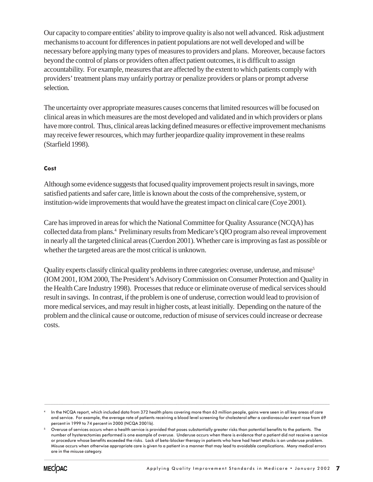Our capacity to compare entities' ability to improve quality is also not well advanced. Risk adjustment mechanisms to account for differences in patient populations are not well developed and will be necessary before applying many types of measures to providers and plans. Moreover, because factors beyond the control of plans or providers often affect patient outcomes, it is difficult to assign accountability. For example, measures that are affected by the extent to which patients comply with providers' treatment plans may unfairly portray or penalize providers or plans or prompt adverse selection.

The uncertainty over appropriate measures causes concerns that limited resources will be focused on clinical areas in which measures are the most developed and validated and in which providers or plans have more control. Thus, clinical areas lacking defined measures or effective improvement mechanisms may receive fewer resources, which may further jeopardize quality improvement in these realms (Starfield 1998).

### **Cost**

Although some evidence suggests that focused quality improvement projects result in savings, more satisfied patients and safer care, little is known about the costs of the comprehensive, system, or institution-wide improvements that would have the greatest impact on clinical care (Coye 2001).

Care has improved in areas for which the National Committee for Quality Assurance (NCQA) has collected data from plans.<sup>4</sup> Preliminary results from Medicare's QIO program also reveal improvement in nearly all the targeted clinical areas (Cuerdon 2001). Whether care is improving as fast as possible or whether the targeted areas are the most critical is unknown.

Quality experts classify clinical quality problems in three categories: overuse, underuse, and misuse<sup>5</sup> (IOM 2001, IOM 2000, The President's Advisory Commission on Consumer Protection and Quality in the Health Care Industry 1998). Processes that reduce or eliminate overuse of medical services should result in savings. In contrast, if the problem is one of underuse, correction would lead to provision of more medical services, and may result in higher costs, at least initially. Depending on the nature of the problem and the clinical cause or outcome, reduction of misuse of services could increase or decrease costs.

....................................................................................................................................................................................................................................................................................................................................................................



<sup>4</sup> In the NCQA report, which included data from 372 health plans covering more than 63 million people, gains were seen in all key areas of care and service. For example, the average rate of patients receiving a blood level screening for cholesterol after a cardiovascular event rose from 69 percent in 1999 to 74 percent in 2000 (NCQA 2001b).

<sup>5</sup> Overuse of services occurs when a health service is provided that poses substantially greater risks than potential benefits to the patients. The number of hysterectomies performed is one example of overuse. Underuse occurs when there is evidence that a patient did not receive a service or procedure whose benefits exceeded the risks. Lack of beta-blocker therapy in patients who have had heart attacks is an underuse problem. Misuse occurs when otherwise appropriate care is given to a patient in a manner that may lead to avoidable complications. Many medical errors are in the misuse category.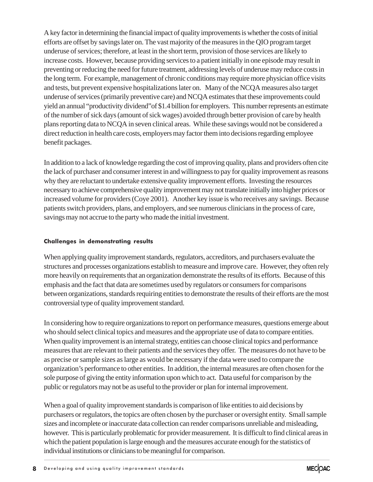A key factor in determining the financial impact of quality improvements is whether the costs of initial efforts are offset by savings later on. The vast majority of the measures in the QIO program target underuse of services; therefore, at least in the short term, provision of those services are likely to increase costs. However, because providing services to a patient initially in one episode may result in preventing or reducing the need for future treatment, addressing levels of underuse may reduce costs in the long term. For example, management of chronic conditions may require more physician office visits and tests, but prevent expensive hospitalizations later on. Many of the NCQA measures also target underuse of services (primarily preventive care) and NCQA estimates that these improvements could yield an annual "productivity dividend"of \$1.4 billion for employers. This number represents an estimate of the number of sick days (amount of sick wages) avoided through better provision of care by health plans reporting data to NCQA in seven clinical areas. While these savings would not be considered a direct reduction in health care costs, employers may factor them into decisions regarding employee benefit packages.

In addition to a lack of knowledge regarding the cost of improving quality, plans and providers often cite the lack of purchaser and consumer interest in and willingness to pay for quality improvement as reasons why they are reluctant to undertake extensive quality improvement efforts. Investing the resources necessary to achieve comprehensive quality improvement may not translate initially into higher prices or increased volume for providers (Coye 2001). Another key issue is who receives any savings. Because patients switch providers, plans, and employers, and see numerous clinicians in the process of care, savings may not accrue to the party who made the initial investment.

### Challenges in demonstrating results

When applying quality improvement standards, regulators, accreditors, and purchasers evaluate the structures and processes organizations establish to measure and improve care. However, they often rely more heavily on requirements that an organization demonstrate the results of its efforts. Because of this emphasis and the fact that data are sometimes used by regulators or consumers for comparisons between organizations, standards requiring entities to demonstrate the results of their efforts are the most controversial type of quality improvement standard.

In considering how to require organizations to report on performance measures, questions emerge about who should select clinical topics and measures and the appropriate use of data to compare entities. When quality improvement is an internal strategy, entities can choose clinical topics and performance measures that are relevant to their patients and the services they offer. The measures do not have to be as precise or sample sizes as large as would be necessary if the data were used to compare the organization's performance to other entities. In addition, the internal measures are often chosen for the sole purpose of giving the entity information upon which to act. Data useful for comparison by the public or regulators may not be as useful to the provider or plan for internal improvement.

When a goal of quality improvement standards is comparison of like entities to aid decisions by purchasers or regulators, the topics are often chosen by the purchaser or oversight entity. Small sample sizes and incomplete or inaccurate data collection can render comparisons unreliable and misleading, however. This is particularly problematic for provider measurement. It is difficult to find clinical areas in which the patient population is large enough and the measures accurate enough for the statistics of individual institutions or clinicians to be meaningful for comparison.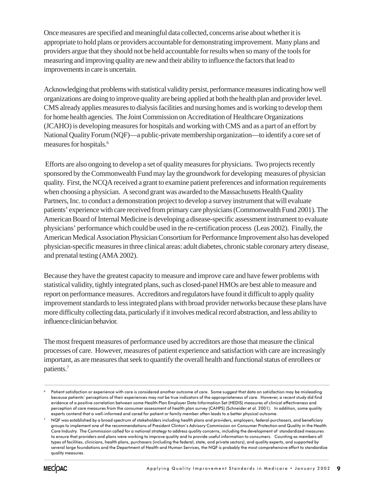Once measures are specified and meaningful data collected, concerns arise about whether it is appropriate to hold plans or providers accountable for demonstrating improvement. Many plans and providers argue that they should not be held accountable for results when so many of the tools for measuring and improving quality are new and their ability to influence the factors that lead to improvements in care is uncertain.

Acknowledging that problems with statistical validity persist, performance measures indicating how well organizations are doing to improve quality are being applied at both the health plan and provider level. CMS already applies measures to dialysis facilities and nursing homes and is working to develop them for home health agencies. The Joint Commission on Accreditation of Healthcare Organizations (JCAHO) is developing measures for hospitals and working with CMS and as a part of an effort by National Quality Forum (NQF)—a public-private membership organization—to identify a core set of measures for hospitals.6

 Efforts are also ongoing to develop a set of quality measures for physicians. Two projects recently sponsored by the Commonwealth Fund may lay the groundwork for developing measures of physician quality. First, the NCQA received a grant to examine patient preferences and information requirements when choosing a physician. A second grant was awarded to the Massachusetts Health Quality Partners, Inc. to conduct a demonstration project to develop a survey instrument that will evaluate patients' experience with care received from primary care physicians (Commonwealth Fund 2001). The American Board of Internal Medicine is developing a disease-specific assessment instrument to evaluate physicians' performance which could be used in the re-certification process (Leas 2002). Finally, the American Medical Association Physician Consortium for Performance Improvement also has developed physician-specific measures in three clinical areas: adult diabetes, chronic stable coronary artery disease, and prenatal testing (AMA 2002).

Because they have the greatest capacity to measure and improve care and have fewer problems with statistical validity, tightly integrated plans, such as closed-panel HMOs are best able to measure and report on performance measures. Accreditors and regulators have found it difficult to apply quality improvement standards to less integrated plans with broad provider networks because these plans have more difficulty collecting data, particularly if it involves medical record abstraction, and less ability to influence clinician behavior.

The most frequent measures of performance used by accreditors are those that measure the clinical processes of care. However, measures of patient experience and satisfaction with care are increasingly important, as are measures that seek to quantify the overall health and functional status of enrollees or patients.7

....................................................................................................................................................................................................................................................................................................................................................................



Patient satisfaction or experience with care is considered another outcome of care. Some suggest that data on satisfaction may be misleading because patients' perceptions of their experiences may not be true indicators of the appropriateness of care. However, a recent study did find evidence of a positive correlation between some Health Plan Employer Data Information Set (HEDIS) measures of clinical effectiveness and perception of care measures from the consumer assessment of health plan survey (CAHPS) (Schneider et al. 2001). In addition, some quality experts contend that a well-informed and cared for patient or family member often leads to a better physical outcome.

 $7$  NQF was established by a broad spectrum of stakeholders including health plans and providers, employers, federal purchasers, and beneficiary groups to implement one of the recommendations of President Clinton's Advisory Commission on Consumer Protection and Quality in the Health Care Industry. The Commission called for a national strategy to address quality concerns, including the development of standardized measures to ensure that providers and plans were working to improve quality and to provide useful information to consumers. Counting as members all types of facilities, clinicians, health plans, purchasers (including the federal, state, and private sectors), and quality experts, and supported by several large foundations and the Department of Health and Human Services, the NQF is probably the most comprehensive effort to standardize quality measures.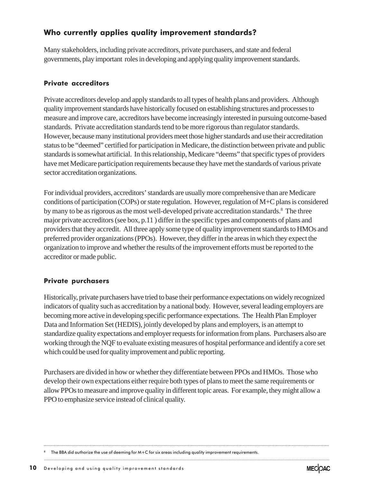# Who currently applies quality improvement standards?

Many stakeholders, including private accreditors, private purchasers, and state and federal governments, play important roles in developing and applying quality improvement standards.

### Private accreditors

Private accreditors develop and apply standards to all types of health plans and providers. Although quality improvement standards have historically focused on establishing structures and processes to measure and improve care, accreditors have become increasingly interested in pursuing outcome-based standards. Private accreditation standards tend to be more rigorous than regulator standards. However, because many institutional providers meet those higher standards and use their accreditation status to be "deemed" certified for participation in Medicare, the distinction between private and public standards is somewhat artificial. In this relationship, Medicare "deems" that specific types of providers have met Medicare participation requirements because they have met the standards of various private sector accreditation organizations.

For individual providers, accreditors' standards are usually more comprehensive than are Medicare conditions of participation (COPs) or state regulation. However, regulation of M+C plans is considered by many to be as rigorous as the most well-developed private accreditation standards.<sup>8</sup> The three major private accreditors (see box, p.11 ) differ in the specific types and components of plans and providers that they accredit. All three apply some type of quality improvement standards to HMOs and preferred provider organizations (PPOs). However, they differ in the areas in which they expect the organization to improve and whether the results of the improvement efforts must be reported to the accreditor or made public.

### Private purchasers

Historically, private purchasers have tried to base their performance expectations on widely recognized indicators of quality such as accreditation by a national body. However, several leading employers are becoming more active in developing specific performance expectations. The Health Plan Employer Data and Information Set (HEDIS), jointly developed by plans and employers, is an attempt to standardize quality expectations and employer requests for information from plans. Purchasers also are working through the NQF to evaluate existing measures of hospital performance and identify a core set which could be used for quality improvement and public reporting.

Purchasers are divided in how or whether they differentiate between PPOs and HMOs. Those who develop their own expectations either require both types of plans to meet the same requirements or allow PPOs to measure and improve quality in different topic areas. For example, they might allow a PPO to emphasize service instead of clinical quality.

.......................................................................................................................................................................................................................................................................................................

<sup>&</sup>lt;sup>8</sup> The BBA did authorize the use of deeming for M+C for six areas including quality improvement requirements.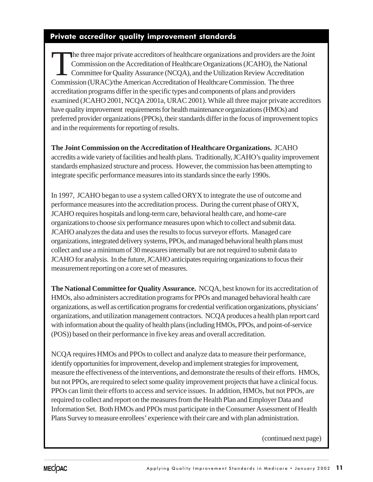### Private accreditor quality improvement standards

The three major private accreditors of healthcare organizations and providers are the Joint<br>Commission on the Accreditation of Healthcare Organizations (JCAHO), the National<br>Committee for Quality Assurance (NCQA), and the Commission on the Accreditation of Healthcare Organizations (JCAHO), the National Committee for Quality Assurance (NCQA), and the Utilization Review Accreditation Commission (URAC)/the American Accreditation of Healthcare Commission. The three accreditation programs differ in the specific types and components of plans and providers examined (JCAHO 2001, NCQA 2001a, URAC 2001). While all three major private accreditors have quality improvement requirements for health maintenance organizations (HMOs) and preferred provider organizations (PPOs), their standards differ in the focus of improvement topics and in the requirements for reporting of results.

**The Joint Commission on the Accreditation of Healthcare Organizations.** JCAHO accredits a wide variety of facilities and health plans. Traditionally, JCAHO's quality improvement standards emphasized structure and process. However, the commission has been attempting to integrate specific performance measures into its standards since the early 1990s.

In 1997, JCAHO began to use a system called ORYX to integrate the use of outcome and performance measures into the accreditation process. During the current phase of ORYX, JCAHO requires hospitals and long-term care, behavioral health care, and home-care organizations to choose six performance measures upon which to collect and submit data. JCAHO analyzes the data and uses the results to focus surveyor efforts. Managed care organizations, integrated delivery systems, PPOs, and managed behavioral health plans must collect and use a minimum of 30 measures internally but are not required to submit data to JCAHO for analysis. In the future, JCAHO anticipates requiring organizations to focus their measurement reporting on a core set of measures.

**The National Committee for Quality Assurance.** NCQA, best known for its accreditation of HMOs, also administers accreditation programs for PPOs and managed behavioral health care organizations, as well as certification programs for credential verification organizations, physicians' organizations, and utilization management contractors. NCQA produces a health plan report card with information about the quality of health plans (including HMOs, PPOs, and point-of-service (POS)) based on their performance in five key areas and overall accreditation.

NCQA requires HMOs and PPOs to collect and analyze data to measure their performance, identify opportunities for improvement, develop and implement strategies for improvement, measure the effectiveness of the interventions, and demonstrate the results of their efforts. HMOs, but not PPOs, are required to select some quality improvement projects that have a clinical focus. PPOs can limit their efforts to access and service issues. In addition, HMOs, but not PPOs, are required to collect and report on the measures from the Health Plan and Employer Data and Information Set. Both HMOs and PPOs must participate in the Consumer Assessment of Health Plans Survey to measure enrollees' experience with their care and with plan administration.

......................................................................................................................................................................................................................................................................................................

(continued next page)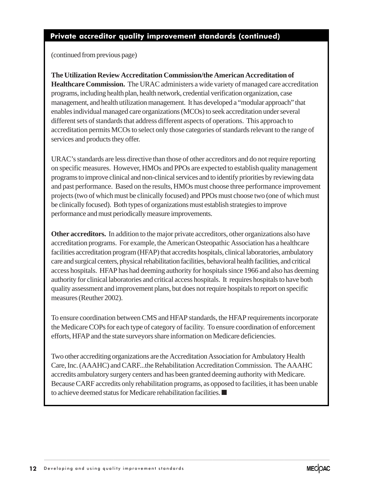### Private accreditor quality improvement standards (continued)

(continued from previous page)

**The Utilization Review Accreditation Commission/the American Accreditation of Healthcare Commission.** The URAC administers a wide variety of managed care accreditation programs, including health plan, health network, credential verification organization, case management, and health utilization management. It has developed a "modular approach" that enables individual managed care organizations (MCOs) to seek accreditation under several different sets of standards that address different aspects of operations. This approach to accreditation permits MCOs to select only those categories of standards relevant to the range of services and products they offer.

URAC's standards are less directive than those of other accreditors and do not require reporting on specific measures. However, HMOs and PPOs are expected to establish quality management programs to improve clinical and non-clinical services and to identify priorities by reviewing data and past performance. Based on the results, HMOs must choose three performance improvement projects (two of which must be clinically focused) and PPOs must choose two (one of which must be clinically focused). Both types of organizations must establish strategies to improve performance and must periodically measure improvements.

**Other accreditors.** In addition to the major private accreditors, other organizations also have accreditation programs. For example, the American Osteopathic Association has a healthcare facilities accreditation program (HFAP) that accredits hospitals, clinical laboratories, ambulatory care and surgical centers, physical rehabilitation facilities, behavioral health facilities, and critical access hospitals. HFAP has had deeming authority for hospitals since 1966 and also has deeming authority for clinical laboratories and critical access hospitals. It requires hospitals to have both quality assessment and improvement plans, but does not require hospitals to report on specific measures (Reuther 2002).

To ensure coordination between CMS and HFAP standards, the HFAP requirements incorporate the Medicare COPs for each type of category of facility. To ensure coordination of enforcement efforts, HFAP and the state surveyors share information on Medicare deficiencies.

Two other accrediting organizations are the Accreditation Association for Ambulatory Health Care, Inc. (AAAHC) and CARF...the Rehabilitation Accreditation Commission. The AAAHC accredits ambulatory surgery centers and has been granted deeming authority with Medicare. Because CARF accredits only rehabilitation programs, as opposed to facilities, it has been unable to achieve deemed status for Medicare rehabilitation facilities. ■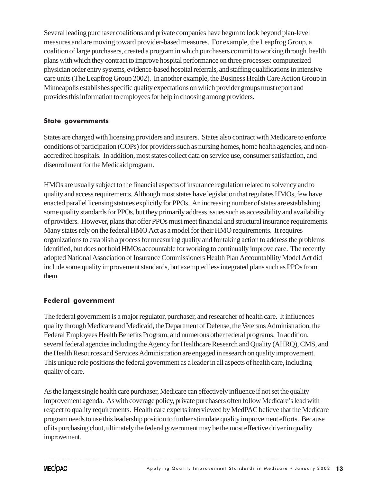Several leading purchaser coalitions and private companies have begun to look beyond plan-level measures and are moving toward provider-based measures. For example, the Leapfrog Group, a coalition of large purchasers, created a program in which purchasers commit to working through health plans with which they contract to improve hospital performance on three processes: computerized physician order entry systems, evidence-based hospital referrals, and staffing qualifications in intensive care units (The Leapfrog Group 2002). In another example, the Business Health Care Action Group in Minneapolis establishes specific quality expectations on which provider groups must report and provides this information to employees for help in choosing among providers.

### State governments

States are charged with licensing providers and insurers. States also contract with Medicare to enforce conditions of participation (COPs) for providers such as nursing homes, home health agencies, and nonaccredited hospitals. In addition, most states collect data on service use, consumer satisfaction, and disenrollment for the Medicaid program.

HMOs are usually subject to the financial aspects of insurance regulation related to solvency and to quality and access requirements. Although most states have legislation that regulates HMOs, few have enacted parallel licensing statutes explicitly for PPOs. An increasing number of states are establishing some quality standards for PPOs, but they primarily address issues such as accessibility and availability of providers. However, plans that offer PPOs must meet financial and structural insurance requirements. Many states rely on the federal HMO Act as a model for their HMO requirements. It requires organizations to establish a process for measuring quality and for taking action to address the problems identified, but does not hold HMOs accountable for working to continually improve care. The recently adopted National Association of Insurance Commissioners Health Plan Accountability Model Act did include some quality improvement standards, but exempted less integrated plans such as PPOs from them.

### Federal government

The federal government is a major regulator, purchaser, and researcher of health care. It influences quality through Medicare and Medicaid, the Department of Defense, the Veterans Administration, the Federal Employees Health Benefits Program, and numerous other federal programs. In addition, several federal agencies including the Agency for Healthcare Research and Quality (AHRQ), CMS, and the Health Resources and Services Administration are engaged in research on quality improvement. This unique role positions the federal government as a leader in all aspects of health care, including quality of care.

As the largest single health care purchaser, Medicare can effectively influence if not set the quality improvement agenda. As with coverage policy, private purchasers often follow Medicare's lead with respect to quality requirements. Health care experts interviewed by MedPAC believe that the Medicare program needs to use this leadership position to further stimulate quality improvement efforts. Because of its purchasing clout, ultimately the federal government may be the most effective driver in quality improvement.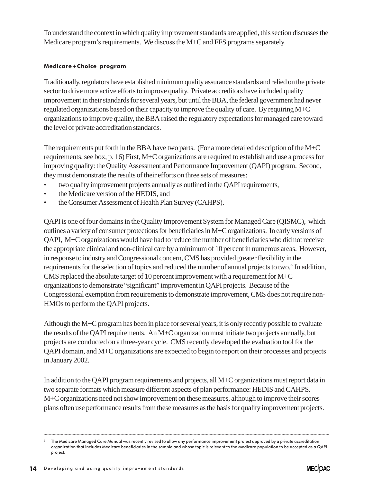To understand the context in which quality improvement standards are applied, this section discusses the Medicare program's requirements. We discuss the M+C and FFS programs separately.

### Medicare+Choice program

Traditionally, regulators have established minimum quality assurance standards and relied on the private sector to drive more active efforts to improve quality. Private accreditors have included quality improvement in their standards for several years, but until the BBA, the federal government had never regulated organizations based on their capacity to improve the quality of care. By requiring M+C organizations to improve quality, the BBA raised the regulatory expectations for managed care toward the level of private accreditation standards.

The requirements put forth in the BBA have two parts. (For a more detailed description of the  $M+C$ requirements, see box, p. 16) First, M+C organizations are required to establish and use a process for improving quality: the Quality Assessment and Performance Improvement (QAPI) program. Second, they must demonstrate the results of their efforts on three sets of measures:

- two quality improvement projects annually as outlined in the QAPI requirements,
- the Medicare version of the HEDIS, and
- the Consumer Assessment of Health Plan Survey (CAHPS).

QAPI is one of four domains in the Quality Improvement System for Managed Care (QISMC), which outlines a variety of consumer protections for beneficiaries in M+C organizations. In early versions of QAPI, M+C organizations would have had to reduce the number of beneficiaries who did not receive the appropriate clinical and non-clinical care by a minimum of 10 percent in numerous areas. However, in response to industry and Congressional concern, CMS has provided greater flexibility in the requirements for the selection of topics and reduced the number of annual projects to two.<sup>9</sup> In addition, CMS replaced the absolute target of 10 percent improvement with a requirement for M+C organizations to demonstrate "significant" improvement in QAPI projects. Because of the Congressional exemption from requirements to demonstrate improvement, CMS does not require non-HMOs to perform the QAPI projects.

Although the M+C program has been in place for several years, it is only recently possible to evaluate the results of the QAPI requirements. An M+C organization must initiate two projects annually, but projects are conducted on a three-year cycle. CMS recently developed the evaluation tool for the QAPI domain, and M+C organizations are expected to begin to report on their processes and projects in January 2002.

In addition to the QAPI program requirements and projects, all M+C organizations must report data in two separate formats which measure different aspects of plan performance: HEDIS and CAHPS. M+C organizations need not show improvement on these measures, although to improve their scores plans often use performance results from these measures as the basis for quality improvement projects.

....................................................................................................................................................................................................................................................................................................................................................................

The Medicare Managed Care Manual was recently revised to allow any performance improvement project approved by a private accreditation organization that includes Medicare beneficiaries in the sample and whose topic is relevant to the Medicare population to be accepted as a QAPI project.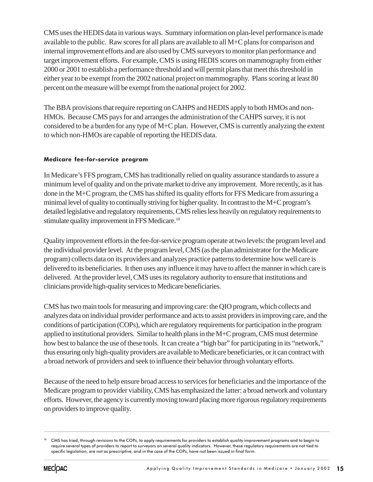CMS uses the HEDIS data in various ways. Summary information on plan-level performance is made available to the public. Raw scores for all plans are available to all M+C plans for comparison and internal improvement efforts and are also used by CMS surveyors to monitor plan performance and target improvement efforts. For example, CMS is using HEDIS scores on mammography from either 2000 or 2001 to establish a performance threshold and will permit plans that meet this threshold in either year to be exempt from the 2002 national project on mammography. Plans scoring at least 80 percent on the measure will be exempt from the national project for 2002.

The BBA provisions that require reporting on CAHPS and HEDIS apply to both HMOs and non-HMOs. Because CMS pays for and arranges the administration of the CAHPS survey, it is not considered to be a burden for any type of M+C plan. However, CMS is currently analyzing the extent to which non-HMOs are capable of reporting the HEDIS data.

### Medicare fee-for-service program

In Medicare's FFS program, CMS has traditionally relied on quality assurance standards to assure a minimum level of quality and on the private market to drive any improvement. More recently, as it has done in the M+C program, the CMS has shifted its quality efforts for FFS Medicare from assuring a minimal level of quality to continually striving for higher quality. In contrast to the M+C program's detailed legislative and regulatory requirements, CMS relies less heavily on regulatory requirements to stimulate quality improvement in FFS Medicare.<sup>10</sup>

Quality improvement efforts in the fee-for-service program operate at two levels: the program level and the individual provider level. At the program level, CMS (as the plan administrator for the Medicare program) collects data on its providers and analyzes practice patterns to determine how well care is delivered to its beneficiaries. It then uses any influence it may have to affect the manner in which care is delivered. At the provider level, CMS uses its regulatory authority to ensure that institutions and clinicians provide high-quality services to Medicare beneficiaries.

CMS has two main tools for measuring and improving care: the QIO program, which collects and analyzes data on individual provider performance and acts to assist providers in improving care, and the conditions of participation (COPs), which are regulatory requirements for participation in the program applied to institutional providers. Similar to health plans in the M+C program, CMS must determine how best to balance the use of these tools. It can create a "high bar" for participating in its "network," thus ensuring only high-quality providers are available to Medicare beneficiaries, or it can contract with a broad network of providers and seek to influence their behavior through voluntary efforts.

Because of the need to help ensure broad access to services for beneficiaries and the importance of the Medicare program to provider viability, CMS has emphasized the latter: a broad network and voluntary efforts. However, the agency is currently moving toward placing more rigorous regulatory requirements on providers to improve quality.

......................................................................................................................................................................................................................................................................................................



<sup>&</sup>lt;sup>10</sup> CMS has tried, through revisions to the COPs, to apply requirements for providers to establish quality improvement programs and to begin to require several types of providers to report to surveyors on several quality indicators. However, these regulatory requirements are not tied to specific legislation, are not as prescriptive, and in the case of the COPs, have not been issued in final form.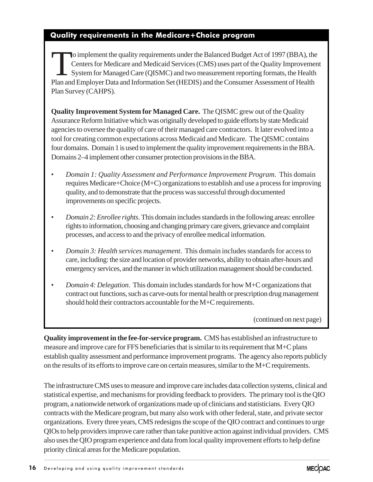### Quality requirements in the Medicare+Choice program

To implement the quality requirements under the Balanced Budget Act of 1997 (BBA), the<br>Centers for Medicare and Medicaid Services (CMS) uses part of the Quality Improvement<br>System for Managed Care (QISMC) and two measureme Centers for Medicare and Medicaid Services (CMS) uses part of the Quality Improvement System for Managed Care (QISMC) and two measurement reporting formats, the Health Plan and Employer Data and Information Set (HEDIS) and the Consumer Assessment of Health Plan Survey (CAHPS).

**Quality Improvement System for Managed Care.** The QISMC grew out of the Quality Assurance Reform Initiative which was originally developed to guide efforts by state Medicaid agencies to oversee the quality of care of their managed care contractors. It later evolved into a tool for creating common expectations across Medicaid and Medicare. The QISMC contains four domains. Domain 1 is used to implement the quality improvement requirements in the BBA. Domains 2–4 implement other consumer protection provisions in the BBA.

- *Domain 1: Quality Assessment and Performance Improvement Program*. This domain requires Medicare+Choice (M+C) organizations to establish and use a process for improving quality, and to demonstrate that the process was successful through documented improvements on specific projects.
- *Domain 2: Enrollee rights*. This domain includes standards in the following areas: enrollee rights to information, choosing and changing primary care givers, grievance and complaint processes, and access to and the privacy of enrollee medical information.
- *Domain 3: Health services management*. This domain includes standards for access to care, including: the size and location of provider networks, ability to obtain after-hours and emergency services, and the manner in which utilization management should be conducted.
- *Domain 4: Delegation*. This domain includes standards for how M+C organizations that contract out functions, such as carve-outs for mental health or prescription drug management should hold their contractors accountable for the M+C requirements.

(continued on next page)

**Quality improvement in the fee-for-service program.** CMS has established an infrastructure to measure and improve care for FFS beneficiaries that is similar to its requirement that M+C plans establish quality assessment and performance improvement programs. The agency also reports publicly on the results of its efforts to improve care on certain measures, similar to the M+C requirements.

The infrastructure CMS uses to measure and improve care includes data collection systems, clinical and statistical expertise, and mechanisms for providing feedback to providers. The primary tool is the QIO program, a nationwide network of organizations made up of clinicians and statisticians. Every QIO contracts with the Medicare program, but many also work with other federal, state, and private sector organizations. Every three years, CMS redesigns the scope of the QIO contract and continues to urge QIOs to help providers improve care rather than take punitive action against individual providers. CMS also uses the QIO program experience and data from local quality improvement efforts to help define priority clinical areas for the Medicare population.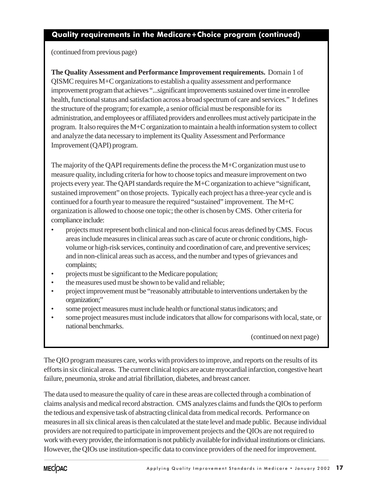### Quality requirements in the Medicare+Choice program (continued)

(continued from previous page)

**The Quality Assessment and Performance Improvement requirements.** Domain 1 of QISMC requires M+C organizations to establish a quality assessment and performance improvement program that achieves "...significant improvements sustained over time in enrollee health, functional status and satisfaction across a broad spectrum of care and services." It defines the structure of the program; for example, a senior official must be responsible for its administration, and employees or affiliated providers and enrollees must actively participate in the program. It also requires the M+C organization to maintain a health information system to collect and analyze the data necessary to implement its Quality Assessment and Performance Improvement (QAPI) program.

The majority of the QAPI requirements define the process the M+C organization must use to measure quality, including criteria for how to choose topics and measure improvement on two projects every year. The QAPI standards require the M+C organization to achieve "significant, sustained improvement" on those projects. Typically each project has a three-year cycle and is continued for a fourth year to measure the required "sustained" improvement. The M+C organization is allowed to choose one topic; the other is chosen by CMS. Other criteria for compliance include:

- projects must represent both clinical and non-clinical focus areas defined by CMS. Focus areas include measures in clinical areas such as care of acute or chronic conditions, highvolume or high-risk services, continuity and coordination of care, and preventive services; and in non-clinical areas such as access, and the number and types of grievances and complaints;
- projects must be significant to the Medicare population;
- the measures used must be shown to be valid and reliable;
- project improvement must be "reasonably attributable to interventions undertaken by the organization;"
- some project measures must include health or functional status indicators; and
- some project measures must include indicators that allow for comparisons with local, state, or national benchmarks.

(continued on next page)

The QIO program measures care, works with providers to improve, and reports on the results of its efforts in six clinical areas. The current clinical topics are acute myocardial infarction, congestive heart failure, pneumonia, stroke and atrial fibrillation, diabetes, and breast cancer.

The data used to measure the quality of care in these areas are collected through a combination of claims analysis and medical record abstraction. CMS analyzes claims and funds the QIOs to perform the tedious and expensive task of abstracting clinical data from medical records. Performance on measures in all six clinical areas is then calculated at the state level and made public. Because individual providers are not required to participate in improvement projects and the QIOs are not required to work with every provider, the information is not publicly available for individual institutions or clinicians. However, the QIOs use institution-specific data to convince providers of the need for improvement.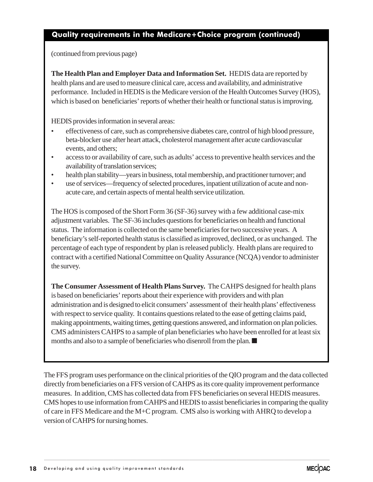### Quality requirements in the Medicare+Choice program (continued)

(continued from previous page)

**The Health Plan and Employer Data and Information Set. HEDIS** data are reported by health plans and are used to measure clinical care, access and availability, and administrative performance. Included in HEDIS is the Medicare version of the Health Outcomes Survey (HOS), which is based on beneficiaries' reports of whether their health or functional status is improving.

HEDIS provides information in several areas:

- effectiveness of care, such as comprehensive diabetes care, control of high blood pressure, beta-blocker use after heart attack, cholesterol management after acute cardiovascular events, and others;
- access to or availability of care, such as adults' access to preventive health services and the availability of translation services;
- health plan stability—years in business, total membership, and practitioner turnover; and
- use of services—frequency of selected procedures, inpatient utilization of acute and nonacute care, and certain aspects of mental health service utilization.

The HOS is composed of the Short Form 36 (SF-36) survey with a few additional case-mix adjustment variables. The SF-36 includes questions for beneficiaries on health and functional status. The information is collected on the same beneficiaries for two successive years. A beneficiary's self-reported health status is classified as improved, declined, or as unchanged. The percentage of each type of respondent by plan is released publicly. Health plans are required to contract with a certified National Committee on Quality Assurance (NCQA) vendor to administer the survey.

**The Consumer Assessment of Health Plans Survey.** The CAHPS designed for health plans is based on beneficiaries' reports about their experience with providers and with plan administration and is designed to elicit consumers' assessment of their health plans' effectiveness with respect to service quality. It contains questions related to the ease of getting claims paid, making appointments, waiting times, getting questions answered, and information on plan policies. CMS administers CAHPS to a sample of plan beneficiaries who have been enrolled for at least six months and also to a sample of beneficiaries who disenroll from the plan. ■

The FFS program uses performance on the clinical priorities of the QIO program and the data collected directly from beneficiaries on a FFS version of CAHPS as its core quality improvement performance measures. In addition, CMS has collected data from FFS beneficiaries on several HEDIS measures. CMS hopes to use information from CAHPS and HEDIS to assist beneficiaries in comparing the quality of care in FFS Medicare and the M+C program. CMS also is working with AHRQ to develop a version of CAHPS for nursing homes.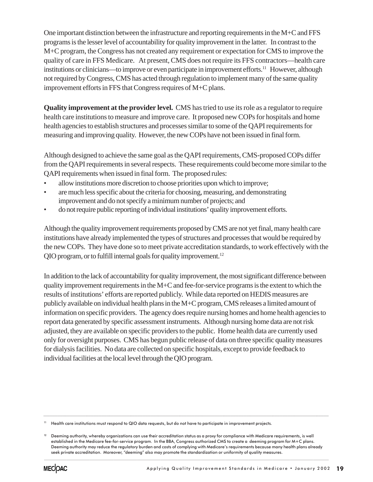One important distinction between the infrastructure and reporting requirements in the M+C and FFS programs is the lesser level of accountability for quality improvement in the latter. In contrast to the M+C program, the Congress has not created any requirement or expectation for CMS to improve the quality of care in FFS Medicare. At present, CMS does not require its FFS contractors—health care institutions or clinicians—to improve or even participate in improvement efforts.<sup>11</sup> However, although not required by Congress, CMS has acted through regulation to implement many of the same quality improvement efforts in FFS that Congress requires of M+C plans.

**Quality improvement at the provider level.** CMS has tried to use its role as a regulator to require health care institutions to measure and improve care. It proposed new COPs for hospitals and home health agencies to establish structures and processes similar to some of the QAPI requirements for measuring and improving quality. However, the new COPs have not been issued in final form.

Although designed to achieve the same goal as the QAPI requirements, CMS-proposed COPs differ from the QAPI requirements in several respects. These requirements could become more similar to the QAPI requirements when issued in final form. The proposed rules:

- allow institutions more discretion to choose priorities upon which to improve;
- are much less specific about the criteria for choosing, measuring, and demonstrating improvement and do not specify a minimum number of projects; and
- do not require public reporting of individual institutions' quality improvement efforts.

Although the quality improvement requirements proposed by CMS are not yet final, many health care institutions have already implemented the types of structures and processes that would be required by the new COPs. They have done so to meet private accreditation standards, to work effectively with the QIO program, or to fulfill internal goals for quality improvement.<sup>12</sup>

In addition to the lack of accountability for quality improvement, the most significant difference between quality improvement requirements in the M+C and fee-for-service programs is the extent to which the results of institutions' efforts are reported publicly. While data reported on HEDIS measures are publicly available on individual health plans in the M+C program, CMS releases a limited amount of information on specific providers. The agency does require nursing homes and home health agencies to report data generated by specific assessment instruments. Although nursing home data are not risk adjusted, they are available on specific providers to the public. Home health data are currently used only for oversight purposes. CMS has begun public release of data on three specific quality measures for dialysis facilities. No data are collected on specific hospitals, except to provide feedback to individual facilities at the local level through the QIO program.

....................................................................................................................................................................................................................................................................................................................................................................

<sup>&</sup>lt;sup>11</sup> Health care institutions must respond to QIO data requests, but do not have to participate in improvement projects.

<sup>&</sup>lt;sup>12</sup> Deeming authority, whereby organizations can use their accreditation status as a proxy for compliance with Medicare requirements, is well established in the Medicare fee-for-service program. In the BBA, Congress authorized CMS to create a deeming program for M+C plans. Deeming authority may reduce the regulatory burden and costs of complying with Medicare's requirements because many health plans already seek private accreditation. Moreover, "deeming" also may promote the standardization or uniformity of quality measures.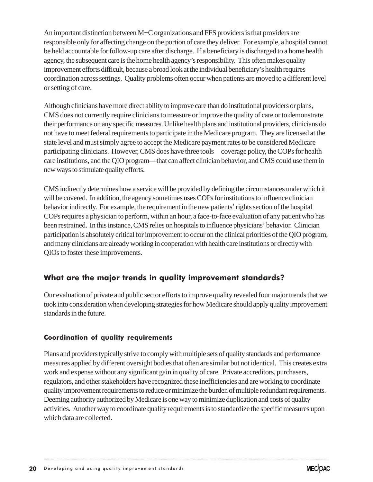An important distinction between M+C organizations and FFS providers is that providers are responsible only for affecting change on the portion of care they deliver. For example, a hospital cannot be held accountable for follow-up care after discharge. If a beneficiary is discharged to a home health agency, the subsequent care is the home health agency's responsibility. This often makes quality improvement efforts difficult, because a broad look at the individual beneficiary's health requires coordination across settings. Quality problems often occur when patients are moved to a different level or setting of care.

Although clinicians have more direct ability to improve care than do institutional providers or plans, CMS does not currently require clinicians to measure or improve the quality of care or to demonstrate their performance on any specific measures. Unlike health plans and institutional providers, clinicians do not have to meet federal requirements to participate in the Medicare program. They are licensed at the state level and must simply agree to accept the Medicare payment rates to be considered Medicare participating clinicians. However, CMS does have three tools—coverage policy, the COPs for health care institutions, and the QIO program—that can affect clinician behavior, and CMS could use them in new ways to stimulate quality efforts.

CMS indirectly determines how a service will be provided by defining the circumstances under which it will be covered. In addition, the agency sometimes uses COPs for institutions to influence clinician behavior indirectly. For example, the requirement in the new patients' rights section of the hospital COPs requires a physician to perform, within an hour, a face-to-face evaluation of any patient who has been restrained. In this instance, CMS relies on hospitals to influence physicians' behavior. Clinician participation is absolutely critical for improvement to occur on the clinical priorities of the QIO program, and many clinicians are already working in cooperation with health care institutions or directly with QIOs to foster these improvements.

### What are the major trends in quality improvement standards?

Our evaluation of private and public sector efforts to improve quality revealed four major trends that we took into consideration when developing strategies for how Medicare should apply quality improvement standards in the future.

### Coordination of quality requirements

Plans and providers typically strive to comply with multiple sets of quality standards and performance measures applied by different oversight bodies that often are similar but not identical. This creates extra work and expense without any significant gain in quality of care. Private accreditors, purchasers, regulators, and other stakeholders have recognized these inefficiencies and are working to coordinate quality improvement requirements to reduce or minimize the burden of multiple redundant requirements. Deeming authority authorized by Medicare is one way to minimize duplication and costs of quality activities. Another way to coordinate quality requirements is to standardize the specific measures upon which data are collected.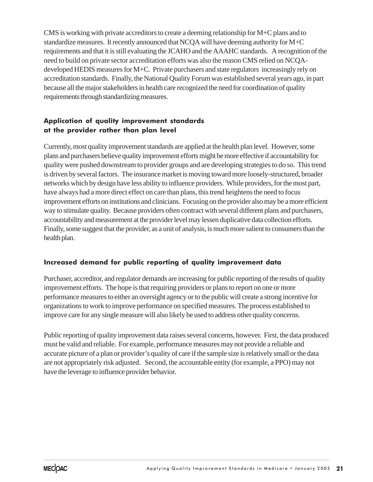CMS is working with private accreditors to create a deeming relationship for M+C plans and to standardize measures. It recently announced that NCQA will have deeming authority for M+C requirements and that it is still evaluating the JCAHO and the AAAHC standards. A recognition of the need to build on private sector accreditation efforts was also the reason CMS relied on NCQAdeveloped HEDIS measures for M+C. Private purchasers and state regulators increasingly rely on accreditation standards. Finally, the National Quality Forum was established several years ago, in part because all the major stakeholders in health care recognized the need for coordination of quality requirements through standardizing measures.

### Application of quality improvement standards at the provider rather than plan level

Currently, most quality improvement standards are applied at the health plan level. However, some plans and purchasers believe quality improvement efforts might be more effective if accountability for quality were pushed downstream to provider groups and are developing strategies to do so. This trend is driven by several factors. The insurance market is moving toward more loosely-structured, broader networks which by design have less ability to influence providers. While providers, for the most part, have always had a more direct effect on care than plans, this trend heightens the need to focus improvement efforts on institutions and clinicians. Focusing on the provider also may be a more efficient way to stimulate quality. Because providers often contract with several different plans and purchasers, accountability and measurement at the provider level may lessen duplicative data collection efforts. Finally, some suggest that the provider, as a unit of analysis, is much more salient to consumers than the health plan.

### Increased demand for public reporting of quality improvement data

Purchaser, accreditor, and regulator demands are increasing for public reporting of the results of quality improvement efforts. The hope is that requiring providers or plans to report on one or more performance measures to either an oversight agency or to the public will create a strong incentive for organizations to work to improve performance on specified measures. The process established to improve care for any single measure will also likely be used to address other quality concerns.

Public reporting of quality improvement data raises several concerns, however. First, the data produced must be valid and reliable. For example, performance measures may not provide a reliable and accurate picture of a plan or provider's quality of care if the sample size is relatively small or the data are not appropriately risk adjusted. Second, the accountable entity (for example, a PPO) may not have the leverage to influence provider behavior.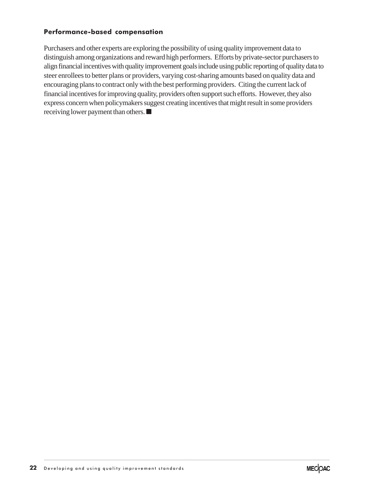### Performance-based compensation

Purchasers and other experts are exploring the possibility of using quality improvement data to distinguish among organizations and reward high performers. Efforts by private-sector purchasers to align financial incentives with quality improvement goals include using public reporting of quality data to steer enrollees to better plans or providers, varying cost-sharing amounts based on quality data and encouraging plans to contract only with the best performing providers. Citing the current lack of financial incentives for improving quality, providers often support such efforts. However, they also express concern when policymakers suggest creating incentives that might result in some providers receiving lower payment than others. ■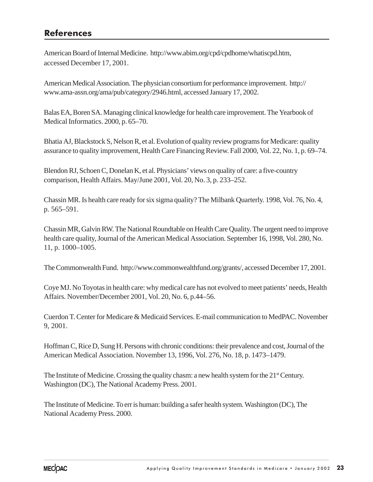# References

American Board of Internal Medicine. http://www.abim.org/cpd/cpdhome/whatiscpd.htm, accessed December 17, 2001.

American Medical Association. The physician consortium for performance improvement. http:// www.ama-assn.org/ama/pub/category/2946.html, accessed January 17, 2002.

Balas EA, Boren SA. Managing clinical knowledge for health care improvement. The Yearbook of Medical Informatics. 2000, p. 65–70.

Bhatia AJ, Blackstock S, Nelson R, et al. Evolution of quality review programs for Medicare: quality assurance to quality improvement, Health Care Financing Review. Fall 2000, Vol. 22, No. 1, p. 69–74.

Blendon RJ, Schoen C, Donelan K, et al. Physicians' views on quality of care: a five-country comparison, Health Affairs. May/June 2001, Vol. 20, No. 3, p. 233–252.

Chassin MR. Is health care ready for six sigma quality? The Milbank Quarterly. 1998, Vol. 76, No. 4, p. 565–591.

Chassin MR, Galvin RW. The National Roundtable on Health Care Quality. The urgent need to improve health care quality, Journal of the American Medical Association. September 16, 1998, Vol. 280, No. 11, p. 1000–1005.

The Commonwealth Fund. http://www.commonwealthfund.org/grants/, accessed December 17, 2001.

Coye MJ. No Toyotas in health care: why medical care has not evolved to meet patients' needs, Health Affairs. November/December 2001, Vol. 20, No. 6, p.44–56.

Cuerdon T. Center for Medicare & Medicaid Services. E-mail communication to MedPAC. November 9, 2001.

Hoffman C, Rice D, Sung H. Persons with chronic conditions: their prevalence and cost, Journal of the American Medical Association. November 13, 1996, Vol. 276, No. 18, p. 1473–1479.

The Institute of Medicine. Crossing the quality chasm: a new health system for the 21<sup>st</sup> Century. Washington (DC), The National Academy Press. 2001.

The Institute of Medicine. To err is human: building a safer health system. Washington (DC), The National Academy Press. 2000.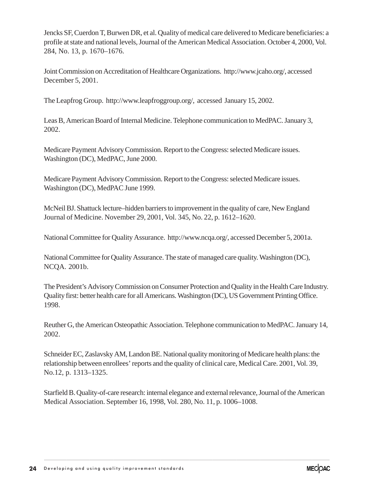Jencks SF, Cuerdon T, Burwen DR, et al. Quality of medical care delivered to Medicare beneficiaries: a profile at state and national levels, Journal of the American Medical Association. October 4, 2000, Vol. 284, No. 13, p. 1670–1676.

Joint Commission on Accreditation of Healthcare Organizations. http://www.jcaho.org/, accessed December 5, 2001.

The Leapfrog Group. http://www.leapfroggroup.org/, accessed January 15, 2002.

Leas B, American Board of Internal Medicine. Telephone communication to MedPAC. January 3, 2002.

Medicare Payment Advisory Commission. Report to the Congress: selected Medicare issues. Washington (DC), MedPAC, June 2000.

Medicare Payment Advisory Commission. Report to the Congress: selected Medicare issues. Washington (DC), MedPAC June 1999.

McNeil BJ. Shattuck lecture–hidden barriers to improvement in the quality of care, New England Journal of Medicine. November 29, 2001, Vol. 345, No. 22, p. 1612–1620.

National Committee for Quality Assurance. http://www.ncqa.org/, accessed December 5, 2001a.

National Committee for Quality Assurance. The state of managed care quality. Washington (DC), NCQA. 2001b.

The President's Advisory Commission on Consumer Protection and Quality in the Health Care Industry. Quality first: better health care for all Americans. Washington (DC), US Government Printing Office. 1998.

Reuther G, the American Osteopathic Association. Telephone communication to MedPAC. January 14, 2002.

Schneider EC, Zaslavsky AM, Landon BE. National quality monitoring of Medicare health plans: the relationship between enrollees' reports and the quality of clinical care, Medical Care. 2001, Vol. 39, No.12, p. 1313–1325.

Starfield B. Quality-of-care research: internal elegance and external relevance, Journal of the American Medical Association. September 16, 1998, Vol. 280, No. 11, p. 1006–1008.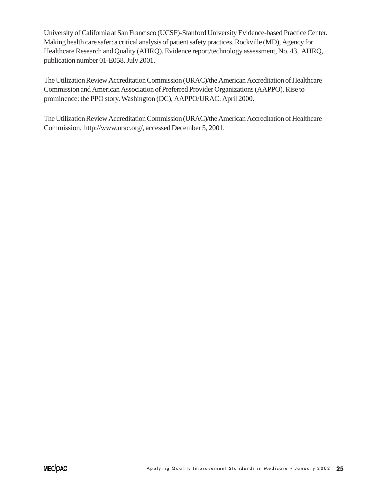University of California at San Francisco (UCSF)-Stanford University Evidence-based Practice Center. Making health care safer: a critical analysis of patient safety practices. Rockville (MD), Agency for Healthcare Research and Quality (AHRQ). Evidence report/technology assessment, No. 43, AHRQ, publication number 01-E058. July 2001.

The Utilization Review Accreditation Commission (URAC)/the American Accreditation of Healthcare Commission and American Association of Preferred Provider Organizations (AAPPO). Rise to prominence: the PPO story. Washington (DC), AAPPO/URAC. April 2000.

The Utilization Review Accreditation Commission (URAC)/the American Accreditation of Healthcare Commission. http://www.urac.org/, accessed December 5, 2001.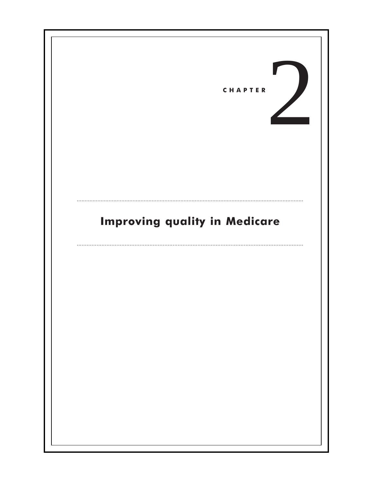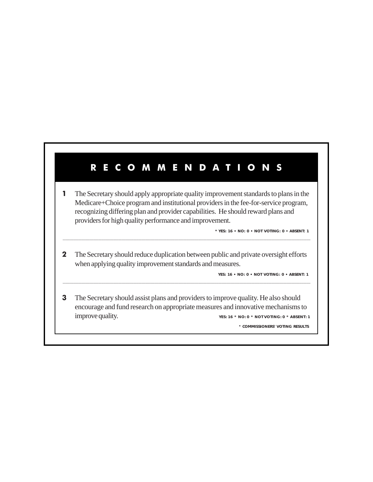# R E C O M M E N D A T I O N S

**1** The Secretary should apply appropriate quality improvement standards to plans in the Medicare+Choice program and institutional providers in the fee-for-service program, recognizing differing plan and provider capabilities. He should reward plans and providers for high quality performance and improvement.

**\* YES: 16 • NO: 0 • NOT VOTING: 0 • ABSENT: 1**

2 The Secretary should reduce duplication between public and private oversight efforts when applying quality improvement standards and measures.

.......................................................................................................................................................................................................................................................................................................................................................................

**YES: 16 • NO: 0 • NOT VOTING: 0 • ABSENT: 1**

3 The Secretary should assist plans and providers to improve quality. He also should encourage and fund research on appropriate measures and innovative mechanisms to improve quality. **YES: 16 \* NO: 0 \* NOT VOTING: 0 \* ABSENT: 1**

.......................................................................................................................................................................................................................................................................................................................................................................

\* **COMMISSIONERS' VOTING RESULTS**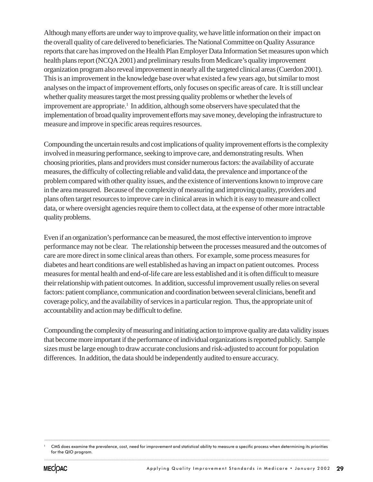Although many efforts are under way to improve quality, we have little information on their impact on the overall quality of care delivered to beneficiaries. The National Committee on Quality Assurance reports that care has improved on the Health Plan Employer Data Information Set measures upon which health plans report (NCQA 2001) and preliminary results from Medicare's quality improvement organization program also reveal improvement in nearly all the targeted clinical areas (Cuerdon 2001). This is an improvement in the knowledge base over what existed a few years ago, but similar to most analyses on the impact of improvement efforts, only focuses on specific areas of care. It is still unclear whether quality measures target the most pressing quality problems or whether the levels of improvement are appropriate.<sup>1</sup> In addition, although some observers have speculated that the implementation of broad quality improvement efforts may save money, developing the infrastructure to measure and improve in specific areas requires resources.

Compounding the uncertain results and cost implications of quality improvement efforts is the complexity involved in measuring performance, seeking to improve care, and demonstrating results. When choosing priorities, plans and providers must consider numerous factors: the availability of accurate measures, the difficulty of collecting reliable and valid data, the prevalence and importance of the problem compared with other quality issues, and the existence of interventions known to improve care in the area measured. Because of the complexity of measuring and improving quality, providers and plans often target resources to improve care in clinical areas in which it is easy to measure and collect data, or where oversight agencies require them to collect data, at the expense of other more intractable quality problems.

Even if an organization's performance can be measured, the most effective intervention to improve performance may not be clear. The relationship between the processes measured and the outcomes of care are more direct in some clinical areas than others. For example, some process measures for diabetes and heart conditions are well established as having an impact on patient outcomes. Process measures for mental health and end-of-life care are less established and it is often difficult to measure their relationship with patient outcomes. In addition, successful improvement usually relies on several factors: patient compliance, communication and coordination between several clinicians, benefit and coverage policy, and the availability of services in a particular region. Thus, the appropriate unit of accountability and action may be difficult to define.

Compounding the complexity of measuring and initiating action to improve quality are data validity issues that become more important if the performance of individual organizations is reported publicly. Sample sizes must be large enough to draw accurate conclusions and risk-adjusted to account for population differences. In addition, the data should be independently audited to ensure accuracy.

<sup>......................................................................................................................................................................................................................................................................................................</sup> .................................................................................................................................................................................................................................................................................................................................................................... <sup>1</sup> CMS does examine the prevalence, cost, need for improvement and statistical ability to measure a specific process when determining its priorities for the QIO program.

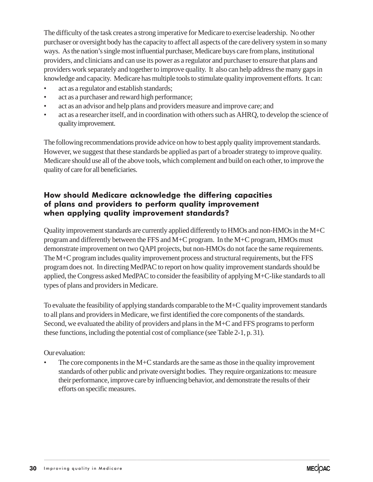The difficulty of the task creates a strong imperative for Medicare to exercise leadership. No other purchaser or oversight body has the capacity to affect all aspects of the care delivery system in so many ways. As the nation's single most influential purchaser, Medicare buys care from plans, institutional providers, and clinicians and can use its power as a regulator and purchaser to ensure that plans and providers work separately and together to improve quality. It also can help address the many gaps in knowledge and capacity. Medicare has multiple tools to stimulate quality improvement efforts. It can:

- act as a regulator and establish standards;
- act as a purchaser and reward high performance;
- act as an advisor and help plans and providers measure and improve care; and
- act as a researcher itself, and in coordination with others such as AHRQ, to develop the science of quality improvement.

The following recommendations provide advice on how to best apply quality improvement standards. However, we suggest that these standards be applied as part of a broader strategy to improve quality. Medicare should use all of the above tools, which complement and build on each other, to improve the quality of care for all beneficiaries.

### How should Medicare acknowledge the differing capacities of plans and providers to perform quality improvement when applying quality improvement standards?

Quality improvement standards are currently applied differently to HMOs and non-HMOs in the M+C program and differently between the FFS and M+C program. In the M+C program, HMOs must demonstrate improvement on two QAPI projects, but non-HMOs do not face the same requirements. The M+C program includes quality improvement process and structural requirements, but the FFS program does not. In directing MedPAC to report on how quality improvement standards should be applied, the Congress asked MedPAC to consider the feasibility of applying M+C-like standards to all types of plans and providers in Medicare.

To evaluate the feasibility of applying standards comparable to the M+C quality improvement standards to all plans and providers in Medicare, we first identified the core components of the standards. Second, we evaluated the ability of providers and plans in the M+C and FFS programs to perform these functions, including the potential cost of compliance (see Table 2-1, p. 31).

### Our evaluation:

The core components in the  $M+C$  standards are the same as those in the quality improvement standards of other public and private oversight bodies. They require organizations to: measure their performance, improve care by influencing behavior, and demonstrate the results of their efforts on specific measures.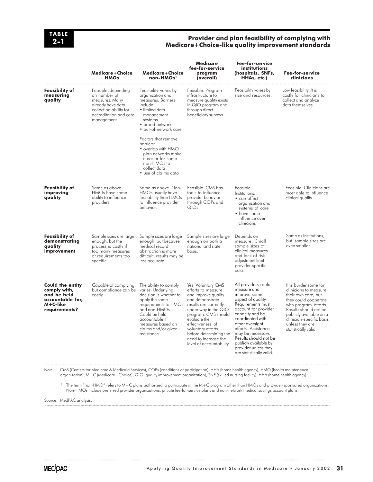

#### Provider and plan feasibility of complying with Medicare+Choice-like quality improvement standards

|                                                                                                              | <b>Medicare+Choice</b><br><b>HMOs</b>                                                                                                         | <b>Medicare+Choice</b><br>non-HMOs <sup>1</sup>                                                                                                                                                          | <b>Medicare</b><br>fee-for-service<br>program<br>(overall)                                                                                                                                                                                                                                         | <b>Fee-for-service</b><br>institutions<br>(hospitals, SNFs,<br>HHAs, etc.)                                                                                                                                                                                                                                                        | Fee-for-service<br>clinicians                                                                                                                                                                                                                    |
|--------------------------------------------------------------------------------------------------------------|-----------------------------------------------------------------------------------------------------------------------------------------------|----------------------------------------------------------------------------------------------------------------------------------------------------------------------------------------------------------|----------------------------------------------------------------------------------------------------------------------------------------------------------------------------------------------------------------------------------------------------------------------------------------------------|-----------------------------------------------------------------------------------------------------------------------------------------------------------------------------------------------------------------------------------------------------------------------------------------------------------------------------------|--------------------------------------------------------------------------------------------------------------------------------------------------------------------------------------------------------------------------------------------------|
| Feasibility of<br>measuring<br>quality                                                                       | Feasible, depending<br>on number of<br>measures. Many<br>already have data<br>collection ability for<br>accreditation and care<br>management. | Feasibility varies by<br>organization and<br>measures. Barriers<br>include:<br>· limited data<br>management<br>systems<br>• broad networks<br>• out-of-network care                                      | Feasible. Program<br>infrastructure to<br>measure quality exists<br>in QIO program and<br>through direct<br>beneficiary surveys.                                                                                                                                                                   | Feasibility varies by<br>size and resources.                                                                                                                                                                                                                                                                                      | Low feasibility. It is<br>costly for clinicians to<br>collect and analyze<br>data themselves.                                                                                                                                                    |
|                                                                                                              |                                                                                                                                               | Factors that remove<br>barriers:<br>• overlap with HMO<br>plan networks make<br>it easier for some<br>non-HMOs to<br>collect data<br>• use of claims data                                                |                                                                                                                                                                                                                                                                                                    |                                                                                                                                                                                                                                                                                                                                   |                                                                                                                                                                                                                                                  |
| <b>Feasibility of</b><br>improving<br>quality                                                                | Same as above.<br>HMOs have some<br>ability to influence<br>providers.                                                                        | Same as above. Non-<br>HMOs usually have<br>less ability than HMOs<br>to influence provider<br>behavior.                                                                                                 | Feasible, CMS has<br>tools to influence<br>provider behavior<br>through COPs and<br>QIOs.                                                                                                                                                                                                          | Feasible.<br>Institutions:<br>• can affect<br>organization and<br>systems of care<br>• have some<br>influence over<br>clinicians                                                                                                                                                                                                  | Feasible. Clinicians are<br>most able to influence<br>clinical quality.                                                                                                                                                                          |
| <b>Feasibility of</b><br>demonstrating<br>quality<br>improvement                                             | Sample sizes are large<br>enough, but the<br>process is costly if<br>too many measures<br>or requirements too<br>specific.                    | Sample sizes are large<br>enough, but because<br>medical record<br>abstraction is more<br>difficult, results may be<br>less accurate.                                                                    | Sample sizes are large<br>enough on both a<br>national and state<br>hasis.                                                                                                                                                                                                                         | Depends on<br>measure. Small<br>sample sizes of<br>clinical measures<br>and lack of risk<br>adjustment limit<br>provider-specific<br>data.                                                                                                                                                                                        | Same as institutions,<br>but sample sizes are<br>even smaller.                                                                                                                                                                                   |
| <b>Could the entity</b><br>comply with,<br>and be held<br>accountable for,<br>$M + C$ -like<br>requirements? | Capable of complying,<br>but compliance can be varies. Underlying<br>costly.                                                                  | The ability to comply<br>decision is whether to<br>apply the same<br>requirements to HMOs<br>and non-HMOs.<br>Could be held<br>accountable if<br>measures based on<br>claims and/or given<br>assistance. | Yes. Voluntary CMS<br>efforts to measure,<br>and improve quality<br>and demonstrate<br>results are currently<br>under way in the QIO<br>program. CMS should<br>evaluate the<br>effectiveness of<br>voluntary efforts<br>before determining the<br>need to increase the<br>level of accountability. | All providers could<br>measure and<br>improve some<br>aspect of quality.<br>Requirements must<br>account for provider<br>capacity and be<br>coordinated with<br>other oversight<br>efforts. Assistance<br>may be necessary.<br>Results should not be<br>publicly available by<br>provider unless they<br>are statistically valid. | It is burdensome for<br>clinicians to measure<br>their own care, but<br>they could cooperate<br>with program efforts.<br>Results should not be<br>publicly available on a<br>clinician-specific basis<br>unless they are<br>statistically valid. |

Note: CMS (Centers for Medicare & Medicaid Services), COPs (conditions of participation), HHA (home health agency), HMO (health maintenance organization), M+C (Medicare+Choice), QIO (quality improvement organization), SNF (skilled nursing facility), HHA (home health agency).

.......................................................................................................................................................................................................................................................................................................................................................................

........................................................................................................................................................................................................................................................................................................................................................................

<sup>1</sup> The term "non-HMO" refers to M+C plans authorized to participate in the M+C program other than HMOs and provider-sponsored organizations. Non-HMOs include preferred provider organizations, private fee-for-service plans and non-network medical savings account plans.

......................................................................................................................................................................................................................................................................................................

Source: MedPAC analysis.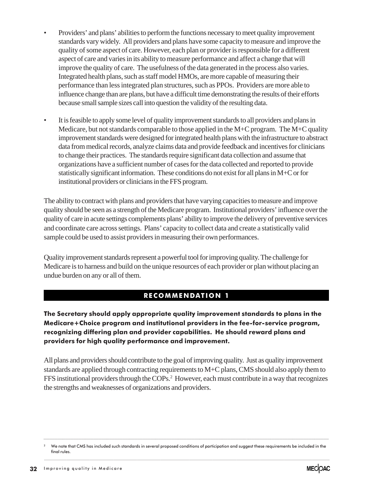- Providers' and plans' abilities to perform the functions necessary to meet quality improvement standards vary widely. All providers and plans have some capacity to measure and improve the quality of some aspect of care. However, each plan or provider is responsible for a different aspect of care and varies in its ability to measure performance and affect a change that will improve the quality of care. The usefulness of the data generated in the process also varies. Integrated health plans, such as staff model HMOs, are more capable of measuring their performance than less integrated plan structures, such as PPOs. Providers are more able to influence change than are plans, but have a difficult time demonstrating the results of their efforts because small sample sizes call into question the validity of the resulting data.
- It is feasible to apply some level of quality improvement standards to all providers and plans in Medicare, but not standards comparable to those applied in the M+C program. The M+C quality improvement standards were designed for integrated health plans with the infrastructure to abstract data from medical records, analyze claims data and provide feedback and incentives for clinicians to change their practices. The standards require significant data collection and assume that organizations have a sufficient number of cases for the data collected and reported to provide statistically significant information. These conditions do not exist for all plans in M+C or for institutional providers or clinicians in the FFS program.

The ability to contract with plans and providers that have varying capacities to measure and improve quality should be seen as a strength of the Medicare program. Institutional providers' influence over the quality of care in acute settings complements plans' ability to improve the delivery of preventive services and coordinate care across settings. Plans' capacity to collect data and create a statistically valid sample could be used to assist providers in measuring their own performances.

Quality improvement standards represent a powerful tool for improving quality. The challenge for Medicare is to harness and build on the unique resources of each provider or plan without placing an undue burden on any or all of them.

### RECOMMENDATION 1

The Secretary should apply appropriate quality improvement standards to plans in the Medicare+Choice program and institutional providers in the fee-for-service program, recognizing differing plan and provider capabilities. He should reward plans and providers for high quality performance and improvement.

All plans and providers should contribute to the goal of improving quality. Just as quality improvement standards are applied through contracting requirements to M+C plans, CMS should also apply them to FFS institutional providers through the COPs.<sup>2</sup> However, each must contribute in a way that recognizes the strengths and weaknesses of organizations and providers.



<sup>.......................................................................................................................................................................................................................................................................................................</sup> <sup>2</sup> We note that CMS has included such standards in several proposed conditions of participation and suggest these requirements be included in the final rules. ....................................................................................................................................................................................................................................................................................................................................................................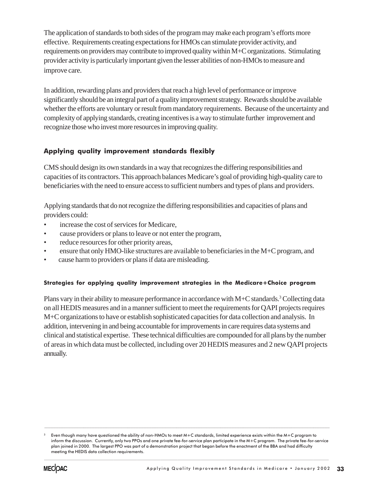The application of standards to both sides of the program may make each program's efforts more effective. Requirements creating expectations for HMOs can stimulate provider activity, and requirements on providers may contribute to improved quality within M+C organizations. Stimulating provider activity is particularly important given the lesser abilities of non-HMOs to measure and improve care.

In addition, rewarding plans and providers that reach a high level of performance or improve significantly should be an integral part of a quality improvement strategy. Rewards should be available whether the efforts are voluntary or result from mandatory requirements. Because of the uncertainty and complexity of applying standards, creating incentives is a way to stimulate further improvement and recognize those who invest more resources in improving quality.

### Applying quality improvement standards flexibly

CMS should design its own standards in a way that recognizes the differing responsibilities and capacities of its contractors. This approach balances Medicare's goal of providing high-quality care to beneficiaries with the need to ensure access to sufficient numbers and types of plans and providers.

Applying standards that do not recognize the differing responsibilities and capacities of plans and providers could:

- increase the cost of services for Medicare,
- cause providers or plans to leave or not enter the program,
- reduce resources for other priority areas,
- ensure that only HMO-like structures are available to beneficiaries in the M+C program, and
- cause harm to providers or plans if data are misleading.

### Strategies for applying quality improvement strategies in the Medicare+Choice program

Plans vary in their ability to measure performance in accordance with M+C standards.<sup>3</sup> Collecting data on all HEDIS measures and in a manner sufficient to meet the requirements for QAPI projects requires M+C organizations to have or establish sophisticated capacities for data collection and analysis. In addition, intervening in and being accountable for improvements in care requires data systems and clinical and statistical expertise. These technical difficulties are compounded for all plans by the number of areas in which data must be collected, including over 20 HEDIS measures and 2 new QAPI projects annually.

....................................................................................................................................................................................................................................................................................................................................................................



Even though many have questioned the ability of non-HMOs to meet M+C standards, limited experience exists within the M+C program to inform the discussion. Currently, only two PPOs and one private fee-for-service plan participate in the M+C program. The private fee-for-service plan joined in 2000. The largest PPO was part of a demonstration project that began before the enactment of the BBA and had difficulty meeting the HEDIS data collection requirements.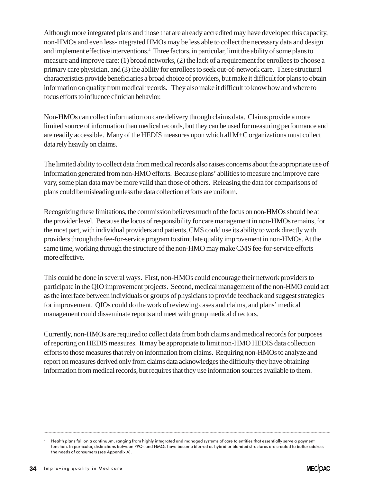Although more integrated plans and those that are already accredited may have developed this capacity, non-HMOs and even less-integrated HMOs may be less able to collect the necessary data and design and implement effective interventions.<sup>4</sup> Three factors, in particular, limit the ability of some plans to measure and improve care: (1) broad networks, (2) the lack of a requirement for enrollees to choose a primary care physician, and (3) the ability for enrollees to seek out-of-network care. These structural characteristics provide beneficiaries a broad choice of providers, but make it difficult for plans to obtain information on quality from medical records. They also make it difficult to know how and where to focus efforts to influence clinician behavior.

Non-HMOs can collect information on care delivery through claims data. Claims provide a more limited source of information than medical records, but they can be used for measuring performance and are readily accessible. Many of the HEDIS measures upon which all M+C organizations must collect data rely heavily on claims.

The limited ability to collect data from medical records also raises concerns about the appropriate use of information generated from non-HMO efforts. Because plans' abilities to measure and improve care vary, some plan data may be more valid than those of others. Releasing the data for comparisons of plans could be misleading unless the data collection efforts are uniform.

Recognizing these limitations, the commission believes much of the focus on non-HMOs should be at the provider level. Because the locus of responsibility for care management in non-HMOs remains, for the most part, with individual providers and patients, CMS could use its ability to work directly with providers through the fee-for-service program to stimulate quality improvement in non-HMOs. At the same time, working through the structure of the non-HMO may make CMS fee-for-service efforts more effective.

This could be done in several ways. First, non-HMOs could encourage their network providers to participate in the QIO improvement projects. Second, medical management of the non-HMO could act as the interface between individuals or groups of physicians to provide feedback and suggest strategies for improvement. QIOs could do the work of reviewing cases and claims, and plans' medical management could disseminate reports and meet with group medical directors.

Currently, non-HMOs are required to collect data from both claims and medical records for purposes of reporting on HEDIS measures. It may be appropriate to limit non-HMO HEDIS data collection efforts to those measures that rely on information from claims. Requiring non-HMOs to analyze and report on measures derived only from claims data acknowledges the difficulty they have obtaining information from medical records, but requires that they use information sources available to them.

.......................................................................................................................................................................................................................................................................................................



<sup>4</sup> Health plans fall on a continuum, ranging from highly integrated and managed systems of care to entities that essentially serve a payment function. In particular, distinctions between PPOs and HMOs have become blurred as hybrid or blended structures are created to better address the needs of consumers (see Appendix A).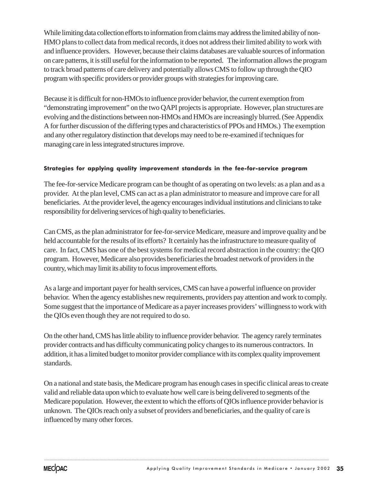While limiting data collection efforts to information from claims may address the limited ability of non-HMO plans to collect data from medical records, it does not address their limited ability to work with and influence providers. However, because their claims databases are valuable sources of information on care patterns, it is still useful for the information to be reported. The information allows the program to track broad patterns of care delivery and potentially allows CMS to follow up through the QIO program with specific providers or provider groups with strategies for improving care.

Because it is difficult for non-HMOs to influence provider behavior, the current exemption from "demonstrating improvement" on the two QAPI projects is appropriate. However, plan structures are evolving and the distinctions between non-HMOs and HMOs are increasingly blurred. (See Appendix A for further discussion of the differing types and characteristics of PPOs and HMOs.) The exemption and any other regulatory distinction that develops may need to be re-examined if techniques for managing care in less integrated structures improve.

### Strategies for applying quality improvement standards in the fee-for-service program

The fee-for-service Medicare program can be thought of as operating on two levels: as a plan and as a provider. At the plan level, CMS can act as a plan administrator to measure and improve care for all beneficiaries. At the provider level, the agency encourages individual institutions and clinicians to take responsibility for delivering services of high quality to beneficiaries.

Can CMS, as the plan administrator for fee-for-service Medicare, measure and improve quality and be held accountable for the results of its efforts? It certainly has the infrastructure to measure quality of care. In fact, CMS has one of the best systems for medical record abstraction in the country: the QIO program. However, Medicare also provides beneficiaries the broadest network of providers in the country, which may limit its ability to focus improvement efforts.

As a large and important payer for health services, CMS can have a powerful influence on provider behavior. When the agency establishes new requirements, providers pay attention and work to comply. Some suggest that the importance of Medicare as a payer increases providers' willingness to work with the QIOs even though they are not required to do so.

On the other hand, CMS has little ability to influence provider behavior. The agency rarely terminates provider contracts and has difficulty communicating policy changes to its numerous contractors. In addition, it has a limited budget to monitor provider compliance with its complex quality improvement standards.

On a national and state basis, the Medicare program has enough cases in specific clinical areas to create valid and reliable data upon which to evaluate how well care is being delivered to segments of the Medicare population. However, the extent to which the efforts of QIOs influence provider behavior is unknown. The QIOs reach only a subset of providers and beneficiaries, and the quality of care is influenced by many other forces.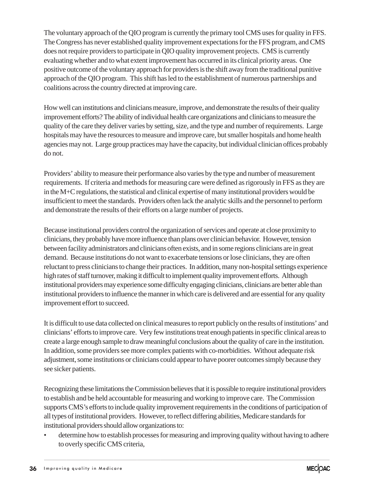The voluntary approach of the QIO program is currently the primary tool CMS uses for quality in FFS. The Congress has never established quality improvement expectations for the FFS program, and CMS does not require providers to participate in QIO quality improvement projects. CMS is currently evaluating whether and to what extent improvement has occurred in its clinical priority areas. One positive outcome of the voluntary approach for providers is the shift away from the traditional punitive approach of the QIO program. This shift has led to the establishment of numerous partnerships and coalitions across the country directed at improving care.

How well can institutions and clinicians measure, improve, and demonstrate the results of their quality improvement efforts? The ability of individual health care organizations and clinicians to measure the quality of the care they deliver varies by setting, size, and the type and number of requirements. Large hospitals may have the resources to measure and improve care, but smaller hospitals and home health agencies may not. Large group practices may have the capacity, but individual clinician offices probably do not.

Providers' ability to measure their performance also varies by the type and number of measurement requirements. If criteria and methods for measuring care were defined as rigorously in FFS as they are in the M+C regulations, the statistical and clinical expertise of many institutional providers would be insufficient to meet the standards. Providers often lack the analytic skills and the personnel to perform and demonstrate the results of their efforts on a large number of projects.

Because institutional providers control the organization of services and operate at close proximity to clinicians, they probably have more influence than plans over clinician behavior. However, tension between facility administrators and clinicians often exists, and in some regions clinicians are in great demand. Because institutions do not want to exacerbate tensions or lose clinicians, they are often reluctant to press clinicians to change their practices. In addition, many non-hospital settings experience high rates of staff turnover, making it difficult to implement quality improvement efforts. Although institutional providers may experience some difficulty engaging clinicians, clinicians are better able than institutional providers to influence the manner in which care is delivered and are essential for any quality improvement effort to succeed.

It is difficult to use data collected on clinical measures to report publicly on the results of institutions' and clinicians' efforts to improve care. Very few institutions treat enough patients in specific clinical areas to create a large enough sample to draw meaningful conclusions about the quality of care in the institution. In addition, some providers see more complex patients with co-morbidities. Without adequate risk adjustment, some institutions or clinicians could appear to have poorer outcomes simply because they see sicker patients.

Recognizing these limitations the Commission believes that it is possible to require institutional providers to establish and be held accountable for measuring and working to improve care. The Commission supports CMS's efforts to include quality improvement requirements in the conditions of participation of all types of institutional providers. However, to reflect differing abilities, Medicare standards for institutional providers should allow organizations to:

• determine how to establish processes for measuring and improving quality without having to adhere to overly specific CMS criteria,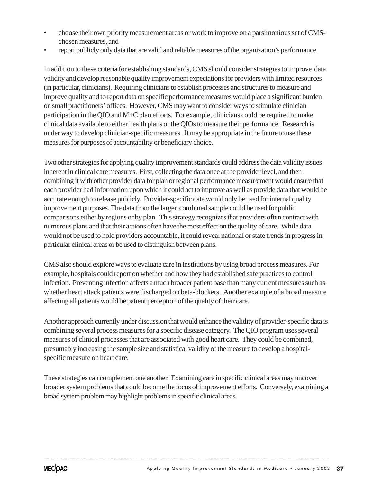- choose their own priority measurement areas or work to improve on a parsimonious set of CMSchosen measures, and
- report publicly only data that are valid and reliable measures of the organization's performance.

In addition to these criteria for establishing standards, CMS should consider strategies to improve data validity and develop reasonable quality improvement expectations for providers with limited resources (in particular, clinicians). Requiring clinicians to establish processes and structures to measure and improve quality and to report data on specific performance measures would place a significant burden on small practitioners' offices. However, CMS may want to consider ways to stimulate clinician participation in the QIO and M+C plan efforts. For example, clinicians could be required to make clinical data available to either health plans or the QIOs to measure their performance. Research is under way to develop clinician-specific measures. It may be appropriate in the future to use these measures for purposes of accountability or beneficiary choice.

Two other strategies for applying quality improvement standards could address the data validity issues inherent in clinical care measures. First, collecting the data once at the provider level, and then combining it with other provider data for plan or regional performance measurement would ensure that each provider had information upon which it could act to improve as well as provide data that would be accurate enough to release publicly. Provider-specific data would only be used for internal quality improvement purposes. The data from the larger, combined sample could be used for public comparisons either by regions or by plan. This strategy recognizes that providers often contract with numerous plans and that their actions often have the most effect on the quality of care. While data would not be used to hold providers accountable, it could reveal national or state trends in progress in particular clinical areas or be used to distinguish between plans.

CMS also should explore ways to evaluate care in institutions by using broad process measures. For example, hospitals could report on whether and how they had established safe practices to control infection. Preventing infection affects a much broader patient base than many current measures such as whether heart attack patients were discharged on beta-blockers. Another example of a broad measure affecting all patients would be patient perception of the quality of their care.

Another approach currently under discussion that would enhance the validity of provider-specific data is combining several process measures for a specific disease category. The QIO program uses several measures of clinical processes that are associated with good heart care. They could be combined, presumably increasing the sample size and statistical validity of the measure to develop a hospitalspecific measure on heart care.

These strategies can complement one another. Examining care in specific clinical areas may uncover broader system problems that could become the focus of improvement efforts. Conversely, examining a broad system problem may highlight problems in specific clinical areas.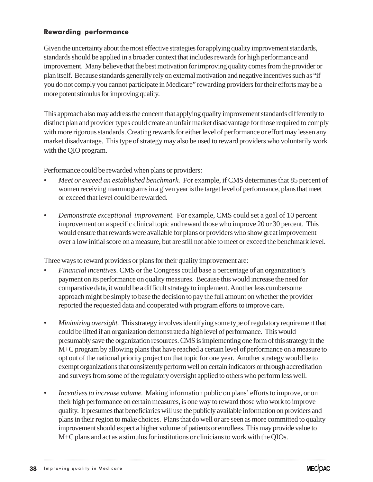### Rewarding performance

Given the uncertainty about the most effective strategies for applying quality improvement standards, standards should be applied in a broader context that includes rewards for high performance and improvement. Many believe that the best motivation for improving quality comes from the provider or plan itself. Because standards generally rely on external motivation and negative incentives such as "if you do not comply you cannot participate in Medicare" rewarding providers for their efforts may be a more potent stimulus for improving quality.

This approach also may address the concern that applying quality improvement standards differently to distinct plan and provider types could create an unfair market disadvantage for those required to comply with more rigorous standards. Creating rewards for either level of performance or effort may lessen any market disadvantage. This type of strategy may also be used to reward providers who voluntarily work with the QIO program.

Performance could be rewarded when plans or providers:

- *Meet or exceed an established benchmark.* For example, if CMS determines that 85 percent of women receiving mammograms in a given year is the target level of performance, plans that meet or exceed that level could be rewarded.
- *Demonstrate exceptional improvement.* For example, CMS could set a goal of 10 percent improvement on a specific clinical topic and reward those who improve 20 or 30 percent. This would ensure that rewards were available for plans or providers who show great improvement over a low initial score on a measure, but are still not able to meet or exceed the benchmark level.

Three ways to reward providers or plans for their quality improvement are:

- *Financial incentives.* CMS or the Congress could base a percentage of an organization's payment on its performance on quality measures. Because this would increase the need for comparative data, it would be a difficult strategy to implement. Another less cumbersome approach might be simply to base the decision to pay the full amount on whether the provider reported the requested data and cooperated with program efforts to improve care.
- *Minimizing oversight.* This strategy involves identifying some type of regulatory requirement that could be lifted if an organization demonstrated a high level of performance. This would presumably save the organization resources. CMS is implementing one form of this strategy in the M+C program by allowing plans that have reached a certain level of performance on a measure to opt out of the national priority project on that topic for one year. Another strategy would be to exempt organizations that consistently perform well on certain indicators or through accreditation and surveys from some of the regulatory oversight applied to others who perform less well.
- *Incentives to increase volume.* Making information public on plans' efforts to improve, or on their high performance on certain measures, is one way to reward those who work to improve quality. It presumes that beneficiaries will use the publicly available information on providers and plans in their region to make choices. Plans that do well or are seen as more committed to quality improvement should expect a higher volume of patients or enrollees. This may provide value to M+C plans and act as a stimulus for institutions or clinicians to work with the QIOs.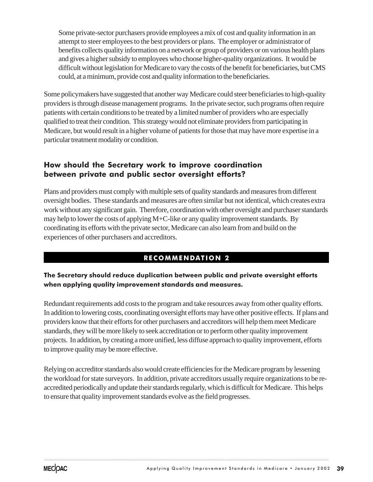Some private-sector purchasers provide employees a mix of cost and quality information in an attempt to steer employees to the best providers or plans. The employer or administrator of benefits collects quality information on a network or group of providers or on various health plans and gives a higher subsidy to employees who choose higher-quality organizations. It would be difficult without legislation for Medicare to vary the costs of the benefit for beneficiaries, but CMS could, at a minimum, provide cost and quality information to the beneficiaries.

Some policymakers have suggested that another way Medicare could steer beneficiaries to high-quality providers is through disease management programs. In the private sector, such programs often require patients with certain conditions to be treated by a limited number of providers who are especially qualified to treat their condition. This strategy would not eliminate providers from participating in Medicare, but would result in a higher volume of patients for those that may have more expertise in a particular treatment modality or condition.

### How should the Secretary work to improve coordination between private and public sector oversight efforts?

Plans and providers must comply with multiple sets of quality standards and measures from different oversight bodies. These standards and measures are often similar but not identical, which creates extra work without any significant gain. Therefore, coordination with other oversight and purchaser standards may help to lower the costs of applying M+C-like or any quality improvement standards. By coordinating its efforts with the private sector, Medicare can also learn from and build on the experiences of other purchasers and accreditors.

# RECOMMENDATION 2

### The Secretary should reduce duplication between public and private oversight efforts when applying quality improvement standards and measures.

Redundant requirements add costs to the program and take resources away from other quality efforts. In addition to lowering costs, coordinating oversight efforts may have other positive effects. If plans and providers know that their efforts for other purchasers and accreditors will help them meet Medicare standards, they will be more likely to seek accreditation or to perform other quality improvement projects. In addition, by creating a more unified, less diffuse approach to quality improvement, efforts to improve quality may be more effective.

Relying on accreditor standards also would create efficiencies for the Medicare program by lessening the workload for state surveyors. In addition, private accreditors usually require organizations to be reaccredited periodically and update their standards regularly, which is difficult for Medicare. This helps to ensure that quality improvement standards evolve as the field progresses.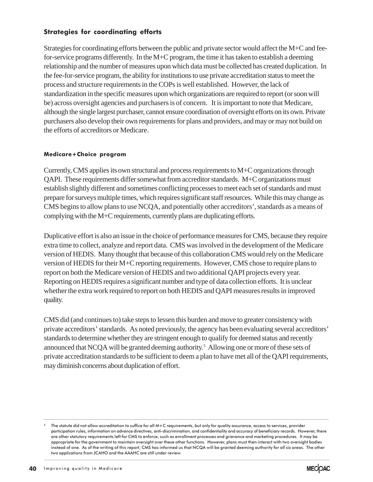### Strategies for coordinating efforts

Strategies for coordinating efforts between the public and private sector would affect the M+C and feefor-service programs differently. In the M+C program, the time it has taken to establish a deeming relationship and the number of measures upon which data must be collected has created duplication. In the fee-for-service program, the ability for institutions to use private accreditation status to meet the process and structure requirements in the COPs is well established. However, the lack of standardization in the specific measures upon which organizations are required to report (or soon will be) across oversight agencies and purchasers is of concern. It is important to note that Medicare, although the single largest purchaser, cannot ensure coordination of oversight efforts on its own. Private purchasers also develop their own requirements for plans and providers, and may or may not build on the efforts of accreditors or Medicare.

### Medicare+Choice program

Currently, CMS applies its own structural and process requirements to M+C organizations through QAPI. These requirements differ somewhat from accreditor standards. M+C organizations must establish slightly different and sometimes conflicting processes to meet each set of standards and must prepare for surveys multiple times, which requires significant staff resources. While this may change as CMS begins to allow plans to use NCQA, and potentially other accreditors', standards as a means of complying with the M+C requirements, currently plans are duplicating efforts.

Duplicative effort is also an issue in the choice of performance measures for CMS, because they require extra time to collect, analyze and report data. CMS was involved in the development of the Medicare version of HEDIS. Many thought that because of this collaboration CMS would rely on the Medicare version of HEDIS for their M+C reporting requirements. However, CMS chose to require plans to report on both the Medicare version of HEDIS and two additional QAPI projects every year. Reporting on HEDIS requires a significant number and type of data collection efforts. It is unclear whether the extra work required to report on both HEDIS and QAPI measures results in improved quality.

CMS did (and continues to) take steps to lessen this burden and move to greater consistency with private accreditors' standards. As noted previously, the agency has been evaluating several accreditors' standards to determine whether they are stringent enough to qualify for deemed status and recently announced that NCQA will be granted deeming authority.<sup>5</sup> Allowing one or more of these sets of private accreditation standards to be sufficient to deem a plan to have met all of the QAPI requirements, may diminish concerns about duplication of effort.

....................................................................................................................................................................................................................................................................................................................................................................



<sup>5</sup> The statute did not allow accreditation to suffice for all M+C requirements, but only for quality assurance, access to services, provider participation rules, information on advance directives, anti-discrimination, and confidentiality and accuracy of beneficiary records. However, there are other statutory requirements left for CMS to enforce, such as enrollment processes and grievance and marketing procedures. It may be appropriate for the government to maintain oversight over these other functions. However, plans must then interact with two oversight bodies instead of one. As of the writing of this report, CMS has informed us that NCQA will be granted deeming authority for all six areas. The other two applications from JCAHO and the AAAHC are still under review.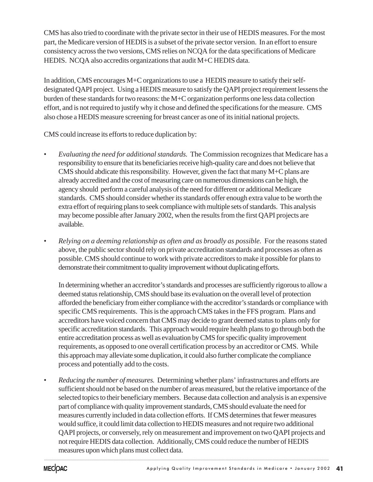CMS has also tried to coordinate with the private sector in their use of HEDIS measures. For the most part, the Medicare version of HEDIS is a subset of the private sector version. In an effort to ensure consistency across the two versions, CMS relies on NCQA for the data specifications of Medicare HEDIS. NCQA also accredits organizations that audit M+C HEDIS data.

In addition, CMS encourages M+C organizations to use a HEDIS measure to satisfy their selfdesignated QAPI project. Using a HEDIS measure to satisfy the QAPI project requirement lessens the burden of these standards for two reasons: the M+C organization performs one less data collection effort, and is not required to justify why it chose and defined the specifications for the measure. CMS also chose a HEDIS measure screening for breast cancer as one of its initial national projects.

CMS could increase its efforts to reduce duplication by:

- *Evaluating the need for additional standards.* The Commission recognizes that Medicare has a responsibility to ensure that its beneficiaries receive high-quality care and does not believe that CMS should abdicate this responsibility. However, given the fact that many M+C plans are already accredited and the cost of measuring care on numerous dimensions can be high, the agency should perform a careful analysis of the need for different or additional Medicare standards. CMS should consider whether its standards offer enough extra value to be worth the extra effort of requiring plans to seek compliance with multiple sets of standards. This analysis may become possible after January 2002, when the results from the first QAPI projects are available.
- *Relying on a deeming relationship as often and as broadly as possible.* For the reasons stated above, the public sector should rely on private accreditation standards and processes as often as possible. CMS should continue to work with private accreditors to make it possible for plans to demonstrate their commitment to quality improvement without duplicating efforts.

In determining whether an accreditor's standards and processes are sufficiently rigorous to allow a deemed status relationship, CMS should base its evaluation on the overall level of protection afforded the beneficiary from either compliance with the accreditor's standards or compliance with specific CMS requirements. This is the approach CMS takes in the FFS program. Plans and accreditors have voiced concern that CMS may decide to grant deemed status to plans only for specific accreditation standards. This approach would require health plans to go through both the entire accreditation process as well as evaluation by CMS for specific quality improvement requirements, as opposed to one overall certification process by an accreditor or CMS. While this approach may alleviate some duplication, it could also further complicate the compliance process and potentially add to the costs.

• *Reducing the number of measures.* Determining whether plans' infrastructures and efforts are sufficient should not be based on the number of areas measured, but the relative importance of the selected topics to their beneficiary members. Because data collection and analysis is an expensive part of compliance with quality improvement standards, CMS should evaluate the need for measures currently included in data collection efforts. If CMS determines that fewer measures would suffice, it could limit data collection to HEDIS measures and not require two additional QAPI projects, or conversely, rely on measurement and improvement on two QAPI projects and not require HEDIS data collection. Additionally, CMS could reduce the number of HEDIS measures upon which plans must collect data.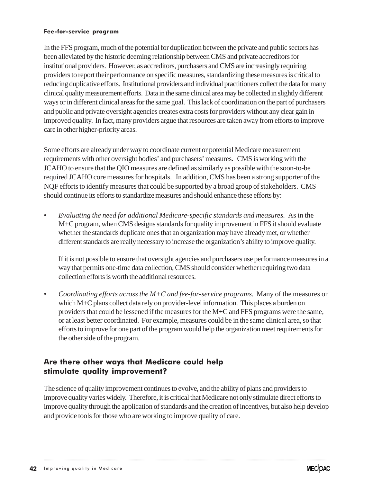#### Fee-for-service program

In the FFS program, much of the potential for duplication between the private and public sectors has been alleviated by the historic deeming relationship between CMS and private accreditors for institutional providers. However, as accreditors, purchasers and CMS are increasingly requiring providers to report their performance on specific measures, standardizing these measures is critical to reducing duplicative efforts. Institutional providers and individual practitioners collect the data for many clinical quality measurement efforts. Data in the same clinical area may be collected in slightly different ways or in different clinical areas for the same goal. This lack of coordination on the part of purchasers and public and private oversight agencies creates extra costs for providers without any clear gain in improved quality. In fact, many providers argue that resources are taken away from efforts to improve care in other higher-priority areas.

Some efforts are already under way to coordinate current or potential Medicare measurement requirements with other oversight bodies' and purchasers' measures. CMS is working with the JCAHO to ensure that the QIO measures are defined as similarly as possible with the soon-to-be required JCAHO core measures for hospitals. In addition, CMS has been a strong supporter of the NQF efforts to identify measures that could be supported by a broad group of stakeholders. CMS should continue its efforts to standardize measures and should enhance these efforts by:

• *Evaluating the need for additional Medicare-specific standards and measures.* As in the M+C program, when CMS designs standards for quality improvement in FFS it should evaluate whether the standards duplicate ones that an organization may have already met, or whether different standards are really necessary to increase the organization's ability to improve quality.

If it is not possible to ensure that oversight agencies and purchasers use performance measures in a way that permits one-time data collection, CMS should consider whether requiring two data collection efforts is worth the additional resources.

• *Coordinating efforts across the M+C and fee-for-service programs.* Many of the measures on which M+C plans collect data rely on provider-level information. This places a burden on providers that could be lessened if the measures for the M+C and FFS programs were the same, or at least better coordinated. For example, measures could be in the same clinical area, so that efforts to improve for one part of the program would help the organization meet requirements for the other side of the program.

### Are there other ways that Medicare could help stimulate quality improvement?

The science of quality improvement continues to evolve, and the ability of plans and providers to improve quality varies widely. Therefore, it is critical that Medicare not only stimulate direct efforts to improve quality through the application of standards and the creation of incentives, but also help develop and provide tools for those who are working to improve quality of care.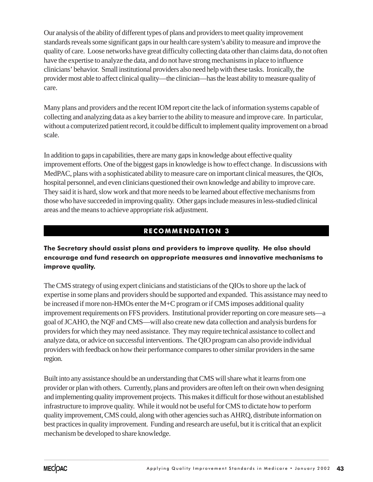Our analysis of the ability of different types of plans and providers to meet quality improvement standards reveals some significant gaps in our health care system's ability to measure and improve the quality of care. Loose networks have great difficulty collecting data other than claims data, do not often have the expertise to analyze the data, and do not have strong mechanisms in place to influence clinicians' behavior. Small institutional providers also need help with these tasks. Ironically, the provider most able to affect clinical quality—the clinician—has the least ability to measure quality of care.

Many plans and providers and the recent IOM report cite the lack of information systems capable of collecting and analyzing data as a key barrier to the ability to measure and improve care. In particular, without a computerized patient record, it could be difficult to implement quality improvement on a broad scale.

In addition to gaps in capabilities, there are many gaps in knowledge about effective quality improvement efforts. One of the biggest gaps in knowledge is how to effect change. In discussions with MedPAC, plans with a sophisticated ability to measure care on important clinical measures, the QIOs, hospital personnel, and even clinicians questioned their own knowledge and ability to improve care. They said it is hard, slow work and that more needs to be learned about effective mechanisms from those who have succeeded in improving quality. Other gaps include measures in less-studied clinical areas and the means to achieve appropriate risk adjustment.

# RECOMMENDATION 3

### The Secretary should assist plans and providers to improve quality. He also should encourage and fund research on appropriate measures and innovative mechanisms to improve quality.

The CMS strategy of using expert clinicians and statisticians of the QIOs to shore up the lack of expertise in some plans and providers should be supported and expanded. This assistance may need to be increased if more non-HMOs enter the M+C program or if CMS imposes additional quality improvement requirements on FFS providers. Institutional provider reporting on core measure sets—a goal of JCAHO, the NQF and CMS—will also create new data collection and analysis burdens for providers for which they may need assistance. They may require technical assistance to collect and analyze data, or advice on successful interventions. The QIO program can also provide individual providers with feedback on how their performance compares to other similar providers in the same region.

Built into any assistance should be an understanding that CMS will share what it learns from one provider or plan with others. Currently, plans and providers are often left on their own when designing and implementing quality improvement projects. This makes it difficult for those without an established infrastructure to improve quality. While it would not be useful for CMS to dictate how to perform quality improvement, CMS could, along with other agencies such as AHRQ, distribute information on best practices in quality improvement. Funding and research are useful, but it is critical that an explicit mechanism be developed to share knowledge.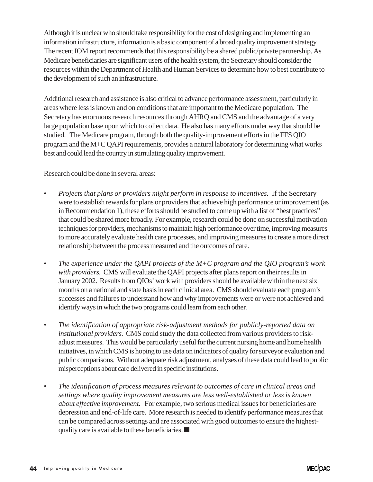Although it is unclear who should take responsibility for the cost of designing and implementing an information infrastructure, information is a basic component of a broad quality improvement strategy. The recent IOM report recommends that this responsibility be a shared public/private partnership. As Medicare beneficiaries are significant users of the health system, the Secretary should consider the resources within the Department of Health and Human Services to determine how to best contribute to the development of such an infrastructure.

Additional research and assistance is also critical to advance performance assessment, particularly in areas where less is known and on conditions that are important to the Medicare population. The Secretary has enormous research resources through AHRQ and CMS and the advantage of a very large population base upon which to collect data. He also has many efforts under way that should be studied. The Medicare program, through both the quality-improvement efforts in the FFS QIO program and the M+C QAPI requirements, provides a natural laboratory for determining what works best and could lead the country in stimulating quality improvement.

Research could be done in several areas:

- *Projects that plans or providers might perform in response to incentives.* If the Secretary were to establish rewards for plans or providers that achieve high performance or improvement (as in Recommendation 1), these efforts should be studied to come up with a list of "best practices" that could be shared more broadly. For example, research could be done on successful motivation techniques for providers, mechanisms to maintain high performance over time, improving measures to more accurately evaluate health care processes, and improving measures to create a more direct relationship between the process measured and the outcomes of care.
- *The experience under the QAPI projects of the M+C program and the QIO program's work with providers.* CMS will evaluate the QAPI projects after plans report on their results in January 2002. Results from QIOs' work with providers should be available within the next six months on a national and state basis in each clinical area. CMS should evaluate each program's successes and failures to understand how and why improvements were or were not achieved and identify ways in which the two programs could learn from each other.
- *The identification of appropriate risk-adjustment methods for publicly-reported data on institutional providers.* CMS could study the data collected from various providers to riskadjust measures. This would be particularly useful for the current nursing home and home health initiatives, in which CMS is hoping to use data on indicators of quality for surveyor evaluation and public comparisons. Without adequate risk adjustment, analyses of these data could lead to public misperceptions about care delivered in specific institutions.
- *The identification of process measures relevant to outcomes of care in clinical areas and settings where quality improvement measures are less well-established or less is known about effective improvement.* For example, two serious medical issues for beneficiaries are depression and end-of-life care. More research is needed to identify performance measures that can be compared across settings and are associated with good outcomes to ensure the highestquality care is available to these beneficiaries. ■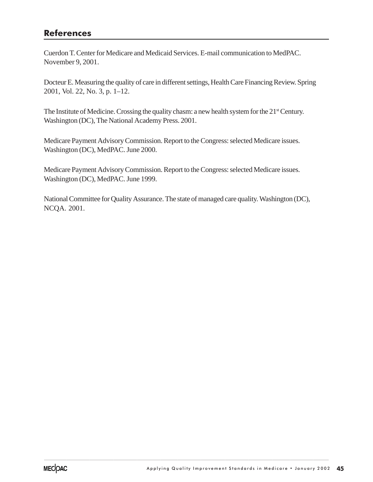# References

Cuerdon T. Center for Medicare and Medicaid Services. E-mail communication to MedPAC. November 9, 2001.

Docteur E. Measuring the quality of care in different settings, Health Care Financing Review. Spring 2001, Vol. 22, No. 3, p. 1–12.

The Institute of Medicine. Crossing the quality chasm: a new health system for the  $21<sup>st</sup>$  Century. Washington (DC), The National Academy Press. 2001.

Medicare Payment Advisory Commission. Report to the Congress: selected Medicare issues. Washington (DC), MedPAC. June 2000.

Medicare Payment Advisory Commission. Report to the Congress: selected Medicare issues. Washington (DC), MedPAC. June 1999.

National Committee for Quality Assurance. The state of managed care quality. Washington (DC), NCQA. 2001.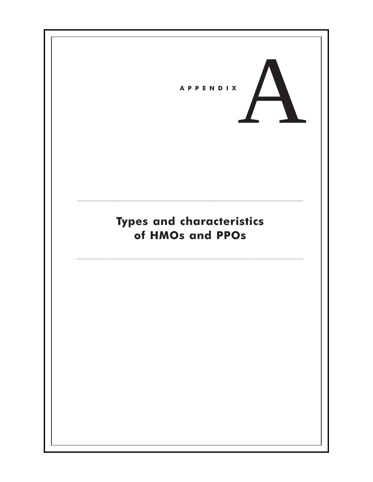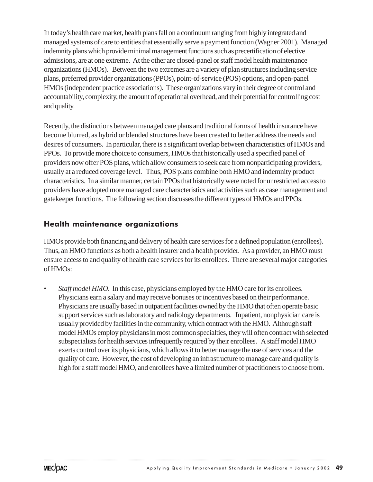In today's health care market, health plans fall on a continuum ranging from highly integrated and managed systems of care to entities that essentially serve a payment function (Wagner 2001). Managed indemnity plans which provide minimal management functions such as precertification of elective admissions, are at one extreme. At the other are closed-panel or staff model health maintenance organizations (HMOs). Between the two extremes are a variety of plan structures including service plans, preferred provider organizations (PPOs), point-of-service (POS) options, and open-panel HMOs (independent practice associations). These organizations vary in their degree of control and accountability, complexity, the amount of operational overhead, and their potential for controlling cost and quality.

Recently, the distinctions between managed care plans and traditional forms of health insurance have become blurred, as hybrid or blended structures have been created to better address the needs and desires of consumers. In particular, there is a significant overlap between characteristics of HMOs and PPOs. To provide more choice to consumers, HMOs that historically used a specified panel of providers now offer POS plans, which allow consumers to seek care from nonparticipating providers, usually at a reduced coverage level. Thus, POS plans combine both HMO and indemnity product characteristics. In a similar manner, certain PPOs that historically were noted for unrestricted access to providers have adopted more managed care characteristics and activities such as case management and gatekeeper functions. The following section discusses the different types of HMOs and PPOs.

### Health maintenance organizations

HMOs provide both financing and delivery of health care services for a defined population (enrollees). Thus, an HMO functions as both a health insurer and a health provider. As a provider, an HMO must ensure access to and quality of health care services for its enrollees. There are several major categories of HMOs:

*Staff model HMO.* In this case, physicians employed by the HMO care for its enrollees. Physicians earn a salary and may receive bonuses or incentives based on their performance. Physicians are usually based in outpatient facilities owned by the HMO that often operate basic support services such as laboratory and radiology departments. Inpatient, nonphysician care is usually provided by facilities in the community, which contract with the HMO. Although staff model HMOs employ physicians in most common specialties, they will often contract with selected subspecialists for health services infrequently required by their enrollees. A staff model HMO exerts control over its physicians, which allows it to better manage the use of services and the quality of care. However, the cost of developing an infrastructure to manage care and quality is high for a staff model HMO, and enrollees have a limited number of practitioners to choose from.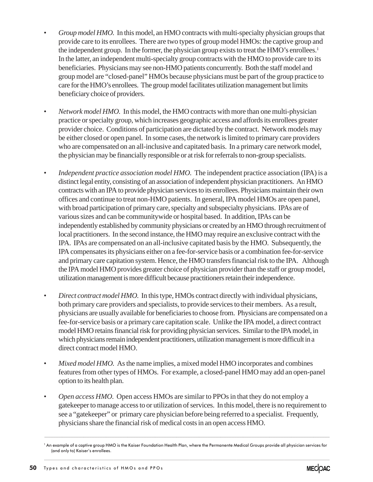- *Group model HMO.* In this model, an HMO contracts with multi-specialty physician groups that provide care to its enrollees. There are two types of group model HMOs: the captive group and the independent group. In the former, the physician group exists to treat the HMO's enrollees.<sup>1</sup> In the latter, an independent multi-specialty group contracts with the HMO to provide care to its beneficiaries. Physicians may see non-HMO patients concurrently. Both the staff model and group model are "closed-panel" HMOs because physicians must be part of the group practice to care for the HMO's enrollees. The group model facilitates utilization management but limits beneficiary choice of providers.
- *Network model HMO.* In this model, the HMO contracts with more than one multi-physician practice or specialty group, which increases geographic access and affords its enrollees greater provider choice. Conditions of participation are dictated by the contract. Network models may be either closed or open panel. In some cases, the network is limited to primary care providers who are compensated on an all-inclusive and capitated basis. In a primary care network model, the physician may be financially responsible or at risk for referrals to non-group specialists.
- *Independent practice association model HMO*. The independent practice association (IPA) is a distinct legal entity, consisting of an association of independent physician practitioners. An HMO contracts with an IPA to provide physician services to its enrollees. Physicians maintain their own offices and continue to treat non-HMO patients. In general, IPA model HMOs are open panel, with broad participation of primary care, specialty and subspecialty physicians. IPAs are of various sizes and can be communitywide or hospital based. In addition, IPAs can be independently established by community physicians or created by an HMO through recruitment of local practitioners. In the second instance, the HMO may require an exclusive contract with the IPA. IPAs are compensated on an all-inclusive capitated basis by the HMO. Subsequently, the IPA compensates its physicians either on a fee-for-service basis or a combination fee-for-service and primary care capitation system. Hence, the HMO transfers financial risk to the IPA. Although the IPA model HMO provides greater choice of physician provider than the staff or group model, utilization management is more difficult because practitioners retain their independence.
- *Direct contract model HMO.* In this type, HMOs contract directly with individual physicians, both primary care providers and specialists, to provide services to their members. As a result, physicians are usually available for beneficiaries to choose from. Physicians are compensated on a fee-for-service basis or a primary care capitation scale. Unlike the IPA model, a direct contract model HMO retains financial risk for providing physician services. Similar to the IPA model, in which physicians remain independent practitioners, utilization management is more difficult in a direct contract model HMO.
- *Mixed model HMO.* As the name implies, a mixed model HMO incorporates and combines features from other types of HMOs. For example, a closed-panel HMO may add an open-panel option to its health plan.
- *Open access HMO*. Open access HMOs are similar to PPOs in that they do not employ a gatekeeper to manage access to or utilization of services.In this model, there is no requirement to see a "gatekeeper" or primary care physician before being referred to a specialist.Frequently, physicians share the financial risk of medical costs in an open access HMO.

<sup>.......................................................................................................................................................................................................................................................................................................</sup> <sup>1</sup> An example of a captive group HMO is the Kaiser Foundation Health Plan, where the Permanente Medical Groups provide all physician services for (and only to) Kaiser's enrollees.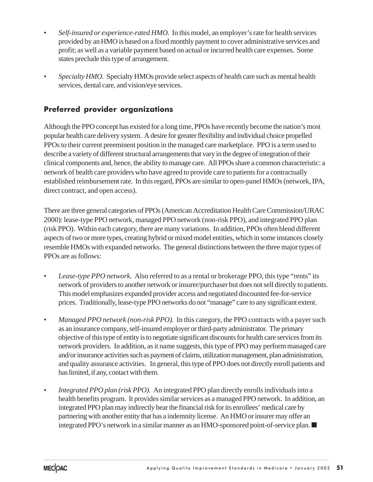- *Self-insured or experience-rated HMO.* In this model, an employer's rate for health services provided by an HMO is based on a fixed monthly payment to cover administrative services and profit; as well as a variable payment based on actual or incurred health care expenses. Some states preclude this type of arrangement.
- *Specialty HMO.* Specialty HMOs provide select aspects of health care such as mental health services, dental care, and vision/eye services.

# Preferred provider organizations

Although the PPO concept has existed for a long time, PPOs have recently become the nation's most popular health care delivery system. A desire for greater flexibility and individual choice propelled PPOs to their current preeminent position in the managed care marketplace. PPO is a term used to describe a variety of different structural arrangements that vary in the degree of integration of their clinical components and, hence, the ability to manage care. All PPOs share a common characteristic: a network of health care providers who have agreed to provide care to patients for a contractually established reimbursement rate. In this regard, PPOs are similar to open-panel HMOs (network, IPA, direct contract, and open access).

There are three general categories of PPOs (American Accreditation Health Care Commission/URAC 2000): lease-type PPO network, managed PPO network (non-risk PPO), and integrated PPO plan (risk PPO). Within each category, there are many variations. In addition, PPOs often blend different aspects of two or more types, creating hybrid or mixed model entities, which in some instances closely resemble HMOs with expanded networks. The general distinctions between the three major types of PPOs are as follows:

- *Lease-type PPO network.* Also referred to as a rental or brokerage PPO, this type "rents" its network of providers to another network or insurer/purchaser but does not sell directly to patients. This model emphasizes expanded provider access and negotiated discounted fee-for-service prices. Traditionally, lease-type PPO networks do not "manage" care to any significant extent.
- *Managed PPO network (non-risk PPO).* In this category, the PPO contracts with a payer such as an insurance company, self-insured employer or third-party administrator. The primary objective of this type of entity is to negotiate significant discounts for health care services from its network providers. In addition, as it name suggests, this type of PPO may perform managed care and/or insurance activities such as payment of claims, utilization management, plan administration, and quality assurance activities. In general, this type of PPO does not directly enroll patients and has limited, if any, contact with them.
- *Integrated PPO plan (risk PPO).* An integrated PPO plan directly enrolls individuals into a health benefits program. It provides similar services as a managed PPO network. In addition, an integrated PPO plan may indirectly bear the financial risk for its enrollees' medical care by partnering with another entity that has a indemnity license. An HMO or insurer may offer an integrated PPO's network in a similar manner as an HMO-sponsored point-of-service plan. ■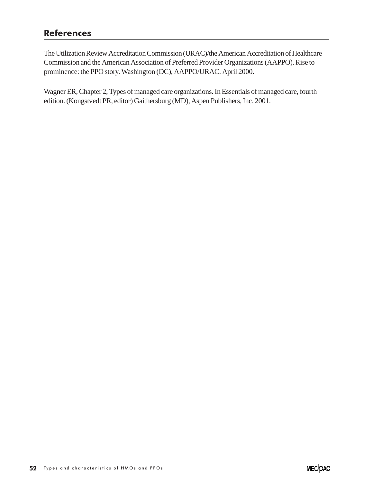# References

The Utilization Review Accreditation Commission (URAC)/the American Accreditation of Healthcare Commission and the American Association of Preferred Provider Organizations (AAPPO). Rise to prominence: the PPO story. Washington (DC), AAPPO/URAC. April 2000.

Wagner ER, Chapter 2, Types of managed care organizations. In Essentials of managed care, fourth edition. (Kongstvedt PR, editor) Gaithersburg (MD), Aspen Publishers, Inc. 2001.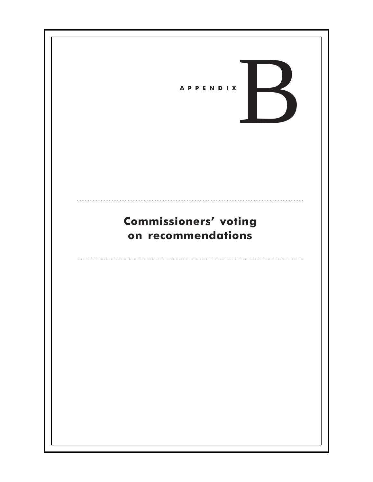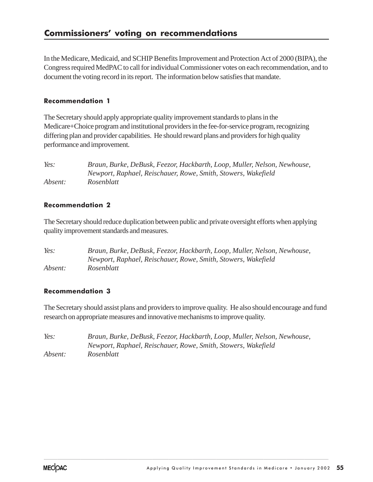In the Medicare, Medicaid, and SCHIP Benefits Improvement and Protection Act of 2000 (BIPA), the Congress required MedPAC to call for individual Commissioner votes on each recommendation, and to document the voting record in its report. The information below satisfies that mandate.

### Recommendation 1

The Secretary should apply appropriate quality improvement standards to plans in the Medicare+Choice program and institutional providers in the fee-for-service program, recognizing differing plan and provider capabilities. He should reward plans and providers for high quality performance and improvement.

| Yes:    | Braun, Burke, DeBusk, Feezor, Hackbarth, Loop, Muller, Nelson, Newhouse, |
|---------|--------------------------------------------------------------------------|
|         | Newport, Raphael, Reischauer, Rowe, Smith, Stowers, Wakefield            |
| Absent: | Rosenblatt                                                               |

### Recommendation 2

The Secretary should reduce duplication between public and private oversight efforts when applying quality improvement standards and measures.

*Yes: Braun, Burke, DeBusk, Feezor, Hackbarth, Loop, Muller, Nelson, Newhouse, Newport, Raphael, Reischauer, Rowe, Smith, Stowers, Wakefield Absent: Rosenblatt*

### Recommendation 3

The Secretary should assist plans and providers to improve quality. He also should encourage and fund research on appropriate measures and innovative mechanisms to improve quality.

| Yes:    | Braun, Burke, DeBusk, Feezor, Hackbarth, Loop, Muller, Nelson, Newhouse, |
|---------|--------------------------------------------------------------------------|
|         | Newport, Raphael, Reischauer, Rowe, Smith, Stowers, Wakefield            |
| Absent: | Rosenblatt                                                               |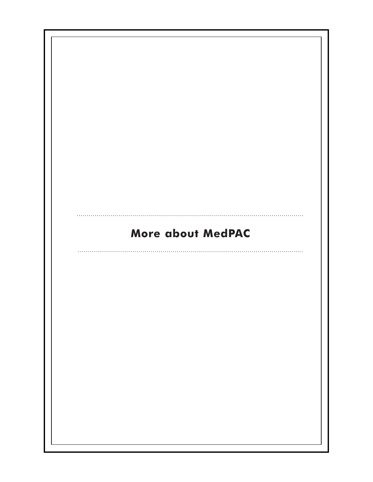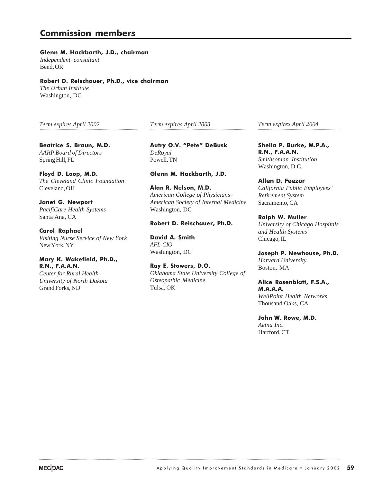### Commission members

Glenn M. Hackbarth, J.D., chairman *Independent consultant* Bend, OR

#### Robert D. Reischauer, Ph.D., vice chairman *The Urban Institute* Washington, DC

*Term expires April 2002* ..................................................................................................... *Term expires April 2003*

Beatrice S. Braun, M.D. *AARP Board of Directors* Spring Hill, FL

Floyd D. Loop, M.D. *The Cleveland Clinic Foundation* Cleveland, OH

Janet G. Newport *PacifiCare Health Systems* Santa Ana, CA

Carol Raphael *Visiting Nurse Service of New York* New York, NY

#### Mary K. Wakefield, Ph.D., R.N., F.A.A.N.

*Center for Rural Health University of North Dakota* Grand Forks, ND

Autry O.V. "Pete" DeBusk *DeRoyal* Powell, TN

Glenn M. Hackbarth, J.D.

Alan R. Nelson, M.D. *American College of Physicians– American Society of Internal Medicine* Washington, DC

#### Robert D. Reischauer, Ph.D.

David A. Smith *AFL-CIO* Washington, DC

Ray E. Stowers, D.O. *Oklahoma State University College of Osteopathic Medicine* Tulsa, OK

.......................................................................................................................................................................................................................................................................................................................

*Term expires April 2004* .................................................................................................... .....................................................................................

> Sheila P. Burke, M.P.A., R.N., F.A.A.N. *Smithsonian Institution* Washington, D.C.

**Allen D. Feezor** *California Public Employees' Retirement System* Sacramento, CA

Ralph W. Muller *University of Chicago Hospitals and Health Systems* Chicago, IL

Joseph P. Newhouse, Ph.D. *Harvard University* Boston, MA

Alice Rosenblatt, F.S.A., M.A.A.A. *WellPoint Health Networks* Thousand Oaks, CA

John W. Rowe, M.D. *Aetna Inc.* Hartford, CT